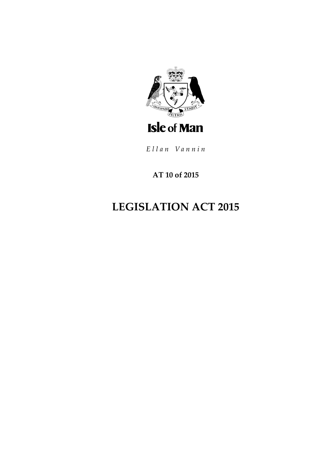

Ellan Vannin

# **AT 10 of 2015**

# **LEGISLATION ACT 2015**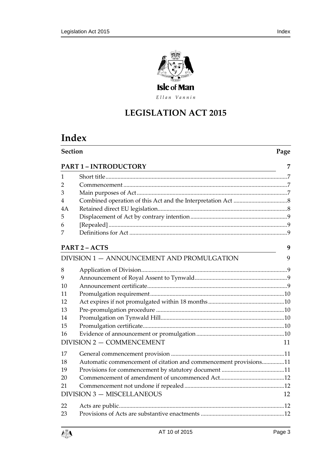

Ellan Vannin

# **LEGISLATION ACT 2015**

# **Index**

| <b>Section</b>                    |                                                                  | Page |  |
|-----------------------------------|------------------------------------------------------------------|------|--|
| <b>PART 1 - INTRODUCTORY</b>      |                                                                  |      |  |
| 1                                 |                                                                  |      |  |
| 2                                 |                                                                  |      |  |
| 3                                 |                                                                  |      |  |
| 4                                 |                                                                  |      |  |
| 4A                                |                                                                  |      |  |
| 5                                 |                                                                  |      |  |
| 6                                 |                                                                  |      |  |
| 7                                 |                                                                  |      |  |
|                                   | <b>PART 2-ACTS</b>                                               | 9    |  |
|                                   | DIVISION 1 - ANNOUNCEMENT AND PROMULGATION                       | 9    |  |
| 8                                 |                                                                  |      |  |
| 9                                 |                                                                  |      |  |
| 10                                |                                                                  |      |  |
| 11                                |                                                                  |      |  |
| 12                                |                                                                  |      |  |
| 13                                |                                                                  |      |  |
| 14                                |                                                                  |      |  |
| 15                                |                                                                  |      |  |
| 16                                |                                                                  |      |  |
|                                   | DIVISION 2 - COMMENCEMENT                                        | 11   |  |
| 17                                |                                                                  |      |  |
| 18                                | Automatic commencement of citation and commencement provisions11 |      |  |
| 19                                |                                                                  |      |  |
| 20                                |                                                                  |      |  |
| 21                                |                                                                  |      |  |
| <b>DIVISION 3 - MISCELLANEOUS</b> |                                                                  |      |  |
| 22                                |                                                                  |      |  |
| 23                                |                                                                  |      |  |
|                                   |                                                                  |      |  |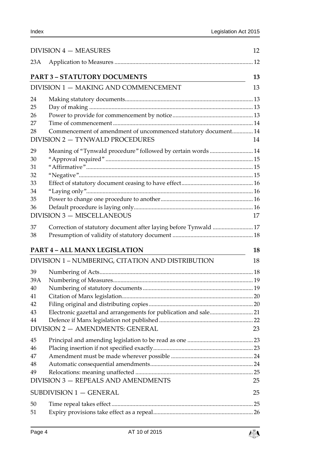|                                                                                 | DIVISION 4 - MEASURES                                            | 12 |
|---------------------------------------------------------------------------------|------------------------------------------------------------------|----|
| 23A                                                                             |                                                                  |    |
|                                                                                 | <b>PART 3 - STATUTORY DOCUMENTS</b>                              | 13 |
| <u> 1980 - Johann Barbara, martin d</u><br>DIVISION 1 - MAKING AND COMMENCEMENT |                                                                  |    |
| 24                                                                              |                                                                  |    |
| 25                                                                              |                                                                  |    |
| 26                                                                              |                                                                  |    |
| 27                                                                              |                                                                  |    |
| 28                                                                              | Commencement of amendment of uncommenced statutory document 14   |    |
|                                                                                 | DIVISION 2 - TYNWALD PROCEDURES                                  | 14 |
| 29                                                                              | Meaning of "Tynwald procedure" followed by certain words  14     |    |
| 30                                                                              |                                                                  |    |
| 31                                                                              |                                                                  |    |
| 32<br>33                                                                        |                                                                  |    |
| 34                                                                              |                                                                  |    |
| 35                                                                              |                                                                  |    |
| 36                                                                              |                                                                  |    |
|                                                                                 | <b>DIVISION 3 - MISCELLANEOUS</b>                                | 17 |
| 37                                                                              | Correction of statutory document after laying before Tynwald  17 |    |
| 38                                                                              |                                                                  |    |
|                                                                                 | <b>PART 4 - ALL MANX LEGISLATION</b>                             | 18 |
|                                                                                 | DIVISION 1 - NUMBERING, CITATION AND DISTRIBUTION                | 18 |
| 39                                                                              |                                                                  |    |
| 39A                                                                             |                                                                  |    |
| 40                                                                              |                                                                  |    |
| 41                                                                              |                                                                  |    |
| 42                                                                              |                                                                  |    |
| 43                                                                              | Electronic gazettal and arrangements for publication and sale 21 |    |
| 44                                                                              |                                                                  |    |
|                                                                                 | DIVISION 2 - AMENDMENTS: GENERAL                                 | 23 |
| 45                                                                              |                                                                  |    |
| 46                                                                              |                                                                  |    |
| 47                                                                              |                                                                  |    |
| 48                                                                              |                                                                  |    |
| 49                                                                              | DIVISION 3 - REPEALS AND AMENDMENTS                              | 25 |
|                                                                                 |                                                                  |    |
|                                                                                 | SUBDIVISION 1 - GENERAL                                          | 25 |
| 50                                                                              |                                                                  |    |
| 51                                                                              |                                                                  |    |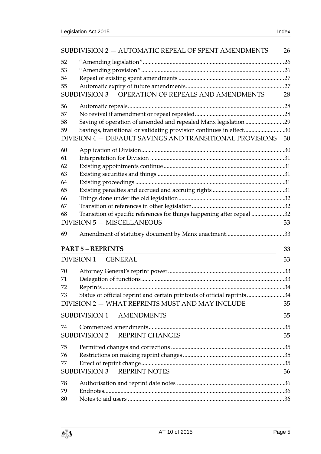| SUBDIVISION 2 - AUTOMATIC REPEAL OF SPENT AMENDMENTS<br>26 |                                                                                                                                                                                                    |    |  |
|------------------------------------------------------------|----------------------------------------------------------------------------------------------------------------------------------------------------------------------------------------------------|----|--|
| 52<br>53<br>54<br>55                                       | SUBDIVISION 3 - OPERATION OF REPEALS AND AMENDMENTS                                                                                                                                                | 28 |  |
| 56<br>57<br>58<br>59                                       | Saving of operation of amended and repealed Manx legislation 29<br>Savings, transitional or validating provision continues in effect30<br>DIVISION 4 - DEFAULT SAVINGS AND TRANSITIONAL PROVISIONS | 30 |  |
| 60<br>61<br>62<br>63<br>64<br>65<br>66<br>67<br>68         | Transition of specific references for things happening after repeal 32<br><b>DIVISION 5 - MISCELLANEOUS</b>                                                                                        | 33 |  |
| 69                                                         |                                                                                                                                                                                                    |    |  |
|                                                            | <b>PART 5 - REPRINTS</b>                                                                                                                                                                           | 33 |  |
|                                                            | $DIVISION 1 - GENERAL$                                                                                                                                                                             | 33 |  |
| 70<br>71<br>72<br>73                                       | Status of official reprint and certain printouts of official reprints34<br>DIVISION 2 - WHAT REPRINTS MUST AND MAY INCLUDE                                                                         | 35 |  |
|                                                            | SUBDIVISION 1 - AMENDMENTS                                                                                                                                                                         | 35 |  |
| 74                                                         | SUBDIVISION 2 - REPRINT CHANGES                                                                                                                                                                    | 35 |  |
| 75<br>76<br>77                                             | <b>SUBDIVISION 3 - REPRINT NOTES</b>                                                                                                                                                               | 36 |  |
| 78<br>79<br>80                                             |                                                                                                                                                                                                    |    |  |

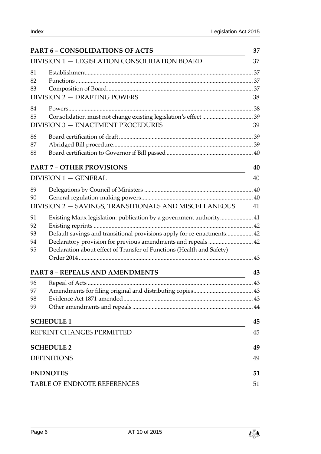| <b>PART 6 - CONSOLIDATIONS OF ACTS</b>                                                                                                                                                                                                                                                                               |          |  |  |
|----------------------------------------------------------------------------------------------------------------------------------------------------------------------------------------------------------------------------------------------------------------------------------------------------------------------|----------|--|--|
| DIVISION 1 - LEGISLATION CONSOLIDATION BOARD                                                                                                                                                                                                                                                                         |          |  |  |
| 81<br>82<br>83<br>DIVISION 2 - DRAFTING POWERS                                                                                                                                                                                                                                                                       | 38       |  |  |
| 84<br>85<br>DIVISION 3 - ENACTMENT PROCEDURES                                                                                                                                                                                                                                                                        | 39       |  |  |
| 86<br>87<br>88                                                                                                                                                                                                                                                                                                       |          |  |  |
| <b>PART 7 - OTHER PROVISIONS</b>                                                                                                                                                                                                                                                                                     | 40       |  |  |
| DIVISION 1 - GENERAL                                                                                                                                                                                                                                                                                                 | 40       |  |  |
| 89<br>90<br>DIVISION 2 - SAVINGS, TRANSITIONALS AND MISCELLANEOUS                                                                                                                                                                                                                                                    | 41       |  |  |
| Existing Manx legislation: publication by a government authority 41<br>91<br>92<br>Default savings and transitional provisions apply for re-enactments 42<br>93<br>Declaratory provision for previous amendments and repeals 42<br>94<br>Declaration about effect of Transfer of Functions (Health and Safety)<br>95 |          |  |  |
| <b>PART 8 - REPEALS AND AMENDMENTS</b>                                                                                                                                                                                                                                                                               | 43       |  |  |
| 96<br>97<br>98<br>99                                                                                                                                                                                                                                                                                                 |          |  |  |
| <b>SCHEDULE 1</b>                                                                                                                                                                                                                                                                                                    | 45       |  |  |
| REPRINT CHANGES PERMITTED<br><b>SCHEDULE 2</b>                                                                                                                                                                                                                                                                       | 45<br>49 |  |  |
| 49<br><b>DEFINITIONS</b>                                                                                                                                                                                                                                                                                             |          |  |  |
| <b>ENDNOTES</b><br>51                                                                                                                                                                                                                                                                                                |          |  |  |
| TABLE OF ENDNOTE REFERENCES<br>51                                                                                                                                                                                                                                                                                    |          |  |  |

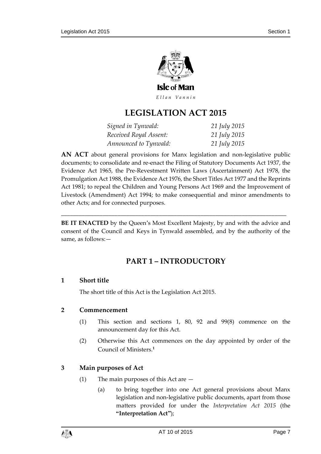

Ellan Vannin

# **LEGISLATION ACT 2015**

| Signed in Tynwald:     | 21 July 2015 |
|------------------------|--------------|
| Received Royal Assent: | 21 July 2015 |
| Announced to Tynwald:  | 21 July 2015 |

**AN ACT** about general provisions for Manx legislation and non-legislative public documents; to consolidate and re-enact the Filing of Statutory Documents Act 1937, the Evidence Act 1965, the Pre-Revestment Written Laws (Ascertainment) Act 1978, the Promulgation Act 1988, the Evidence Act 1976, the Short Titles Act 1977 and the Reprints Act 1981; to repeal the Children and Young Persons Act 1969 and the Improvement of Livestock (Amendment) Act 1994; to make consequential and minor amendments to other Acts; and for connected purposes.

<span id="page-6-0"></span>**BE IT ENACTED** by the Queen's Most Excellent Majesty, by and with the advice and consent of the Council and Keys in Tynwald assembled, and by the authority of the same, as follows:—

\_\_\_\_\_\_\_\_\_\_\_\_\_\_\_\_\_\_\_\_\_\_\_\_\_\_\_\_\_\_\_\_\_\_\_\_\_\_\_\_\_\_\_\_\_\_\_\_\_\_\_\_\_\_\_\_\_\_\_\_\_\_\_\_\_\_\_\_\_\_\_\_\_\_\_\_

# **PART 1 – INTRODUCTORY**

## <span id="page-6-1"></span>**1 Short title**

The short title of this Act is the Legislation Act 2015.

## <span id="page-6-2"></span>**2 Commencement**

- (1) This section and sections 1, [80,](#page-35-3) [92](#page-41-0) and [99\(8\)](#page-43-1) commence on the announcement day for this Act.
- (2) Otherwise this Act commences on the day appointed by order of the Council of Ministers. **1**

## <span id="page-6-4"></span><span id="page-6-3"></span>**3 Main purposes of Act**

- (1) The main purposes of this Act are
	- (a) to bring together into one Act general provisions about Manx legislation and non-legislative public documents, apart from those matters provided for under the *Interpretation Act 2015* (the **"Interpretation Act"**);

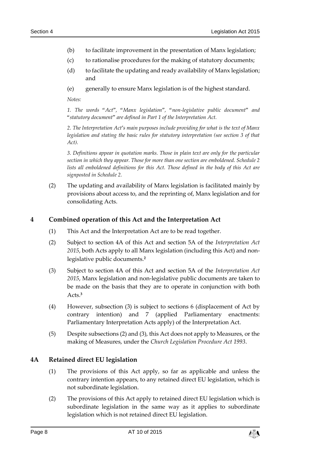- (b) to facilitate improvement in the presentation of Manx legislation;
- (c) to rationalise procedures for the making of statutory documents;
- (d) to facilitate the updating and ready availability of Manx legislation; and
- (e) generally to ensure Manx legislation is of the highest standard.

*Notes:*

*1. The words "Act", "Manx legislation", "non-legislative public document" and "statutory document" are defined in Part 1 of the Interpretation Act.*

*2. The Interpretation Act's main purposes include providing for what is the text of Manx legislation and stating the basic rules for statutory interpretation (see section 3 of that Act).*

*3. Definitions appear in quotation marks. Those in plain text are only for the particular section in which they appear. Those for more than one section are emboldened. Schedule 2 lists all emboldened definitions for this Act. Those defined in the body of this Act are signposted in Schedule 2.*

(2) The updating and availability of Manx legislation is facilitated mainly by provisions about access to, and the reprinting of, Manx legislation and for consolidating Acts.

## <span id="page-7-0"></span>**4 Combined operation of this Act and the Interpretation Act**

- (1) This Act and the Interpretation Act are to be read together.
- (2) Subject to section 4A of this Act and section 5A of the *Interpretation Act 2015*, both Acts apply to all Manx legislation (including this Act) and nonlegislative public documents.**<sup>2</sup>**
- (3) Subject to section 4A of this Act and section 5A of the *Interpretation Act 2015*, Manx legislation and non-legislative public documents are taken to be made on the basis that they are to operate in conjunction with both Acts.**<sup>3</sup>**
- (4) However, subsection (3) is subject to sections 6 (displacement of Act by contrary intention) and 7 (applied Parliamentary enactments: Parliamentary Interpretation Acts apply) of the Interpretation Act.
- (5) Despite subsections (2) and (3), this Act does not apply to Measures, or the making of Measures, under the *Church Legislation Procedure Act 1993*.

## <span id="page-7-1"></span>**4A Retained direct EU legislation**

- (1) The provisions of this Act apply, so far as applicable and unless the contrary intention appears, to any retained direct EU legislation, which is not subordinate legislation.
- (2) The provisions of this Act apply to retained direct EU legislation which is subordinate legislation in the same way as it applies to subordinate legislation which is not retained direct EU legislation.

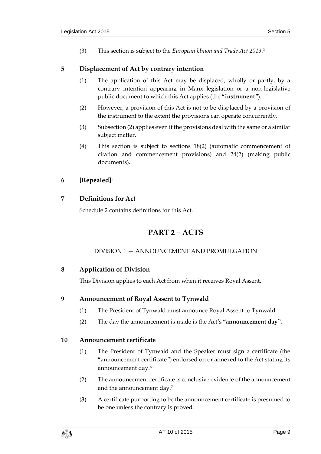(3) This section is subject to the *European Union and Trade Act 2019*. **4**

#### <span id="page-8-0"></span>**5 Displacement of Act by contrary intention**

- (1) The application of this Act may be displaced, wholly or partly, by a contrary intention appearing in Manx legislation or a non-legislative public document to which this Act applies (the "**instrument**").
- <span id="page-8-8"></span>(2) However, a provision of this Act is not to be displaced by a provision of the instrument to the extent the provisions can operate concurrently.
- (3) Subsectio[n \(2\)](#page-8-8) applies even if the provisions deal with the same or a similar subject matter.
- (4) This section is subject to sections [18\(2\)](#page-10-4) (automatic commencement of citation and commencement provisions) and [24\(2\)](#page-12-5) (making public documents).

## <span id="page-8-1"></span>**6 [Repealed]**<sup>5</sup>

## <span id="page-8-3"></span><span id="page-8-2"></span>**7 Definitions for Act**

Schedule 2 contains definitions for this Act.

# **PART 2 – ACTS**

## DIVISION 1 — ANNOUNCEMENT AND PROMULGATION

## <span id="page-8-5"></span><span id="page-8-4"></span>**8 Application of Division**

This Division applies to each Act from when it receives Royal Assent.

## <span id="page-8-9"></span><span id="page-8-6"></span>**9 Announcement of Royal Assent to Tynwald**

- (1) The President of Tynwald must announce Royal Assent to Tynwald.
- (2) The day the announcement is made is the Act's **"announcement day"**.

## <span id="page-8-7"></span>**10 Announcement certificate**

- (1) The President of Tynwald and the Speaker must sign a certificate (the "announcement certificate") endorsed on or annexed to the Act stating its announcement day. **6**
- (2) The announcement certificate is conclusive evidence of the announcement and the announcement day.**<sup>7</sup>**
- (3) A certificate purporting to be the announcement certificate is presumed to be one unless the contrary is proved.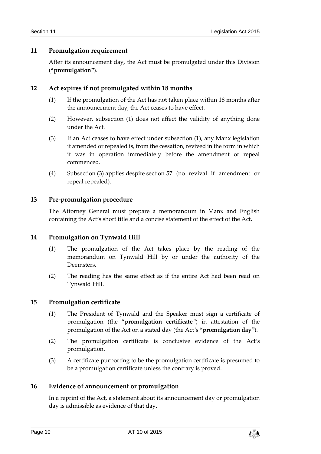## <span id="page-9-0"></span>**11 Promulgation requirement**

After its announcement day, the Act must be promulgated under this Division (**"promulgation"**).

## <span id="page-9-6"></span><span id="page-9-1"></span>**12 Act expires if not promulgated within 18 months**

- (1) If the promulgation of the Act has not taken place within 18 months after the announcement day, the Act ceases to have effect.
- (2) However, subsection [\(1\)](#page-9-6) does not affect the validity of anything done under the Act.
- (3) If an Act ceases to have effect under subsection (1), any Manx legislation it amended or repealed is, from the cessation, revived in the form in which it was in operation immediately before the amendment or repeal commenced.
- (4) Subsection (3) applies despite section [57](#page-27-2) (no revival if amendment or repeal repealed).

#### <span id="page-9-2"></span>**13 Pre-promulgation procedure**

The Attorney General must prepare a memorandum in Manx and English containing the Act's short title and a concise statement of the effect of the Act.

## <span id="page-9-3"></span>**14 Promulgation on Tynwald Hill**

- (1) The promulgation of the Act takes place by the reading of the memorandum on Tynwald Hill by or under the authority of the Deemsters.
- (2) The reading has the same effect as if the entire Act had been read on Tynwald Hill.

#### <span id="page-9-7"></span><span id="page-9-4"></span>**15 Promulgation certificate**

- (1) The President of Tynwald and the Speaker must sign a certificate of promulgation (the "**promulgation certificate**") in attestation of the promulgation of the Act on a stated day (the Act's **"promulgation day"**).
- (2) The promulgation certificate is conclusive evidence of the Act's promulgation.
- (3) A certificate purporting to be the promulgation certificate is presumed to be a promulgation certificate unless the contrary is proved.

#### <span id="page-9-5"></span>**16 Evidence of announcement or promulgation**

In a reprint of the Act, a statement about its announcement day or promulgation day is admissible as evidence of that day.

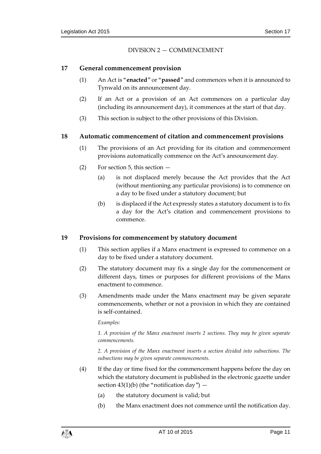#### DIVISION 2 — COMMENCEMENT

#### <span id="page-10-5"></span><span id="page-10-1"></span><span id="page-10-0"></span>**17 General commencement provision**

- (1) An Act is "**enacted**" or "**passed**" and commences when it is announced to Tynwald on its announcement day.
- (2) If an Act or a provision of an Act commences on a particular day (including its announcement day), it commences at the start of that day.
- (3) This section is subject to the other provisions of this Division.

#### <span id="page-10-2"></span>**18 Automatic commencement of citation and commencement provisions**

- (1) The provisions of an Act providing for its citation and commencement provisions automatically commence on the Act's announcement day.
- <span id="page-10-4"></span>(2) For section [5,](#page-8-0) this section —
	- (a) is not displaced merely because the Act provides that the Act (without mentioning any particular provisions) is to commence on a day to be fixed under a statutory document; but
	- (b) is displaced if the Act expressly states a statutory document is to fix a day for the Act's citation and commencement provisions to commence.

## <span id="page-10-3"></span>**19 Provisions for commencement by statutory document**

- (1) This section applies if a Manx enactment is expressed to commence on a day to be fixed under a statutory document.
- (2) The statutory document may fix a single day for the commencement or different days, times or purposes for different provisions of the Manx enactment to commence.
- (3) Amendments made under the Manx enactment may be given separate commencements, whether or not a provision in which they are contained is self-contained.

*Examples:*

*1. A provision of the Manx enactment inserts 2 sections. They may be given separate commencements.*

*2. A provision of the Manx enactment inserts a section divided into subsections. The subsections may be given separate commencements.*

- (4) If the day or time fixed for the commencement happens before the day on which the statutory document is published in the electronic gazette under section  $43(1)(b)$  (the "notification day") –
	- (a) the statutory document is valid; but
	- (b) the Manx enactment does not commence until the notification day.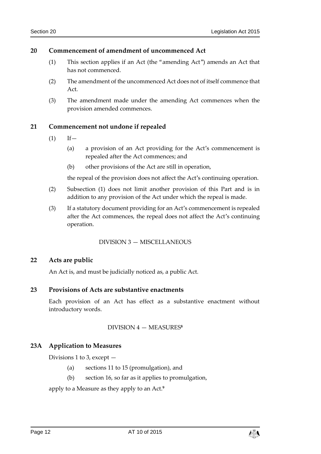#### <span id="page-11-0"></span>**20 Commencement of amendment of uncommenced Act**

- (1) This section applies if an Act (the "amending Act") amends an Act that has not commenced.
- (2) The amendment of the uncommenced Act does not of itself commence that Act.
- (3) The amendment made under the amending Act commences when the provision amended commences.

## <span id="page-11-7"></span><span id="page-11-1"></span>**21 Commencement not undone if repealed**

- $(1)$  If  $-$ 
	- (a) a provision of an Act providing for the Act's commencement is repealed after the Act commences; and
	- (b) other provisions of the Act are still in operation,

the repeal of the provision does not affect the Act's continuing operation.

- (2) Subsection [\(1\)](#page-11-7) does not limit another provision of this Part and is in addition to any provision of the Act under which the repeal is made.
- (3) If a statutory document providing for an Act's commencement is repealed after the Act commences, the repeal does not affect the Act's continuing operation.

#### DIVISION 3 — MISCELLANEOUS

#### <span id="page-11-3"></span><span id="page-11-2"></span>**22 Acts are public**

An Act is, and must be judicially noticed as, a public Act.

## <span id="page-11-4"></span>**23 Provisions of Acts are substantive enactments**

<span id="page-11-5"></span>Each provision of an Act has effect as a substantive enactment without introductory words.

#### DIVISION 4 — MEASURES **8**

## <span id="page-11-6"></span>**23A Application to Measures**

Divisions 1 to 3, except —

- (a) sections 11 to 15 (promulgation), and
- (b) section 16, so far as it applies to promulgation,

apply to a Measure as they apply to an Act.**9**

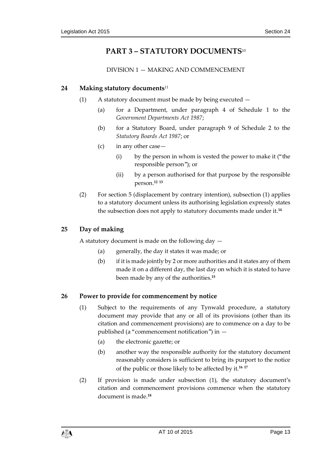# **PART 3 – STATUTORY DOCUMENTS**<sup>10</sup>

DIVISION 1 — MAKING AND COMMENCEMENT

## <span id="page-12-2"></span><span id="page-12-1"></span><span id="page-12-0"></span>**24 Making statutory documents**<sup>11</sup>

- (1) A statutory document must be made by being executed
	- (a) for a Department, under paragraph 4 of Schedule 1 to the *Government Departments Act 1987*;
	- (b) for a Statutory Board, under paragraph 9 of Schedule 2 to the *Statutory Boards Act 1987*; or
	- (c) in any other case—
		- (i) by the person in whom is vested the power to make it ("the responsible person"); or
		- (ii) by a person authorised for that purpose by the responsible person. **12 13**
- <span id="page-12-5"></span>(2) For section [5](#page-8-0) (displacement by contrary intention), subsection (1) applies to a statutory document unless its authorising legislation expressly states the subsection does not apply to statutory documents made under it.**<sup>14</sup>**

## <span id="page-12-3"></span>**25 Day of making**

A statutory document is made on the following day —

- (a) generally, the day it states it was made; or
- (b) if it is made jointly by 2 or more authorities and it states any of them made it on a different day, the last day on which it is stated to have been made by any of the authorities.**<sup>15</sup>**

## <span id="page-12-6"></span><span id="page-12-4"></span>**26 Power to provide for commencement by notice**

- (1) Subject to the requirements of any Tynwald procedure, a statutory document may provide that any or all of its provisions (other than its citation and commencement provisions) are to commence on a day to be published (a "commencement notification") in —
	- (a) the electronic gazette; or
	- (b) another way the responsible authority for the statutory document reasonably considers is sufficient to bring its purport to the notice of the public or those likely to be affected by it.**<sup>16</sup> <sup>17</sup>**
- (2) If provision is made under subsection [\(1\),](#page-12-6) the statutory document's citation and commencement provisions commence when the statutory document is made.**18**

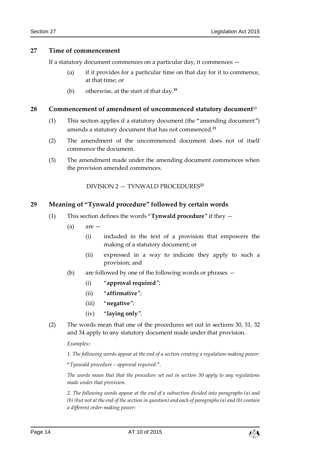#### <span id="page-13-0"></span>**27 Time of commencement**

If a statutory document commences on a particular day, it commences —

- (a) if it provides for a particular time on that day for it to commence, at that time; or
- (b) otherwise, at the start of that day.**<sup>19</sup>**

#### <span id="page-13-1"></span>**28 Commencement of amendment of uncommenced statutory document**<sup>20</sup>

- (1) This section applies if a statutory document (the "amending document") amends a statutory document that has not commenced.**<sup>21</sup>**
- (2) The amendment of the uncommenced document does not of itself commence the document.
- <span id="page-13-2"></span>(3) The amendment made under the amending document commences when the provision amended commences.

DIVISION 2 — TYNWALD PROCEDURES**<sup>22</sup>**

#### <span id="page-13-3"></span>**29 Meaning of "Tynwald procedure" followed by certain words**

- (1) This section defines the words "**Tynwald procedure**" if they
	- $(a)$  are  $-$ 
		- (i) included in the text of a provision that empowers the making of a statutory document; or
		- (ii) expressed in a way to indicate they apply to such a provision; and
	- (b) are followed by one of the following words or phrases
		- (i) "**approval required**";
		- (ii) "**affirmative**";
		- (iii) "**negative**";
		- (iv) "**laying only**".
- (2) The words mean that one of the procedures set out in sections [30,](#page-14-0) [31,](#page-14-1) [32](#page-14-2) and [34](#page-15-1) apply to any statutory document made under that provision.

*Examples::*

*1. The following words appear at the end of a section creating a regulation-making power:*

*"Tynwald procedure – approval required.".*

*The words mean that that the procedure set out in section [30](#page-14-0) apply to any regulations made under that provision.*

*2. The following words appear at the end of a subsection divided into paragraphs (a) and (b) (but not at the end of the section in question) and each of paragraphs (a) and (b) contain a different order-making power:*

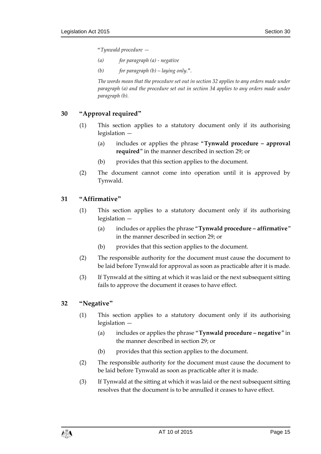*"Tynwald procedure —*

- *(a) for paragraph (a) - negative*
- *(b) for paragraph (b) – laying only.".*

*The words mean that the procedure set out in section [32](#page-14-2) applies to any orders made under paragraph (a) and the procedure set out in section [34](#page-15-1) applies to any orders made under paragraph (b).*

## <span id="page-14-0"></span>**30 "Approval required"**

- (1) This section applies to a statutory document only if its authorising legislation —
	- (a) includes or applies the phrase "**Tynwald procedure – approval required**" in the manner described in section [29;](#page-13-3) or
	- (b) provides that this section applies to the document.
- (2) The document cannot come into operation until it is approved by Tynwald.

## <span id="page-14-1"></span>**31 "Affirmative"**

- (1) This section applies to a statutory document only if its authorising legislation —
	- (a) includes or applies the phrase "**Tynwald procedure – affirmative**" in the manner described in section [29;](#page-13-3) or
	- (b) provides that this section applies to the document.
- (2) The responsible authority for the document must cause the document to be laid before Tynwald for approval as soon as practicable after it is made.
- (3) If Tynwald at the sitting at which it was laid or the next subsequent sitting fails to approve the document it ceases to have effect.

## <span id="page-14-3"></span><span id="page-14-2"></span>**32 "Negative"**

- (1) This section applies to a statutory document only if its authorising legislation —
	- (a) includes or applies the phrase "**Tynwald procedure – negative**" in the manner described in section [29;](#page-13-3) or
	- (b) provides that this section applies to the document.
- (2) The responsible authority for the document must cause the document to be laid before Tynwald as soon as practicable after it is made.
- (3) If Tynwald at the sitting at which it was laid or the next subsequent sitting resolves that the document is to be annulled it ceases to have effect.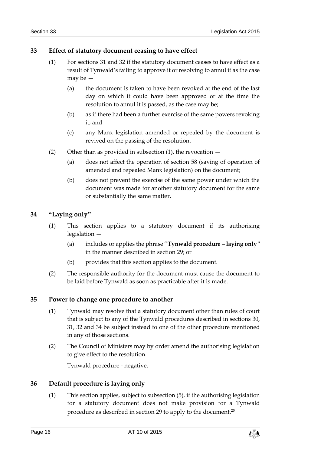## <span id="page-15-0"></span>**33 Effect of statutory document ceasing to have effect**

- (1) For sections [31](#page-14-1) and [32](#page-14-2) if the statutory document ceases to have effect as a result of Tynwald's failing to approve it or resolving to annul it as the case may be —
	- (a) the document is taken to have been revoked at the end of the last day on which it could have been approved or at the time the resolution to annul it is passed, as the case may be;
	- (b) as if there had been a further exercise of the same powers revoking it; and
	- (c) any Manx legislation amended or repealed by the document is revived on the passing of the resolution.
- (2) Other than as provided in subsection  $(1)$ , the revocation  $-$ 
	- (a) does not affect the operation of section [58](#page-28-0) (saving of operation of amended and repealed Manx legislation) on the document;
	- (b) does not prevent the exercise of the same power under which the document was made for another statutory document for the same or substantially the same matter.

## <span id="page-15-1"></span>**34 "Laying only"**

- (1) This section applies to a statutory document if its authorising legislation —
	- (a) includes or applies the phrase "**Tynwald procedure – laying only**" in the manner described in section [29;](#page-13-3) or
	- (b) provides that this section applies to the document.
- (2) The responsible authority for the document must cause the document to be laid before Tynwald as soon as practicable after it is made.

## <span id="page-15-2"></span>**35 Power to change one procedure to another**

- (1) Tynwald may resolve that a statutory document other than rules of court that is subject to any of the Tynwald procedures described in sections [30,](#page-14-0) [31,](#page-14-1) [32](#page-14-2) and [34](#page-15-1) be subject instead to one of the other procedure mentioned in any of those sections.
- (2) The Council of Ministers may by order amend the authorising legislation to give effect to the resolution.

Tynwald procedure - negative.

## <span id="page-15-3"></span>**36 Default procedure is laying only**

(1) This section applies, subject to subsection (5), if the authorising legislation for a statutory document does not make provision for a Tynwald procedure as described in section [29](#page-13-3) to apply to the document. **23**

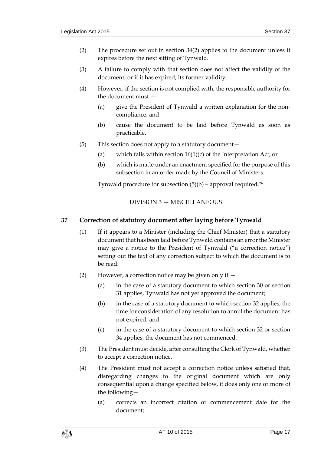- (2) The procedure set out in section [34\(](#page-15-1)2) applies to the document unless it expires before the next sitting of Tynwald.
- (3) A failure to comply with that section does not affect the validity of the document, or if it has expired, its former validity.
- (4) However, if the section is not complied with, the responsible authority for the document must —
	- (a) give the President of Tynwald a written explanation for the noncompliance; and
	- (b) cause the document to be laid before Tynwald as soon as practicable.
- (5) This section does not apply to a statutory document—
	- (a) which falls within section  $16(1)(c)$  of the Interpretation Act; or
	- (b) which is made under an enactment specified for the purpose of this subsection in an order made by the Council of Ministers.

Tynwald procedure for subsection (5)(b) – approval required.**<sup>24</sup>**

DIVISION 3 — MISCELLANEOUS

## <span id="page-16-1"></span><span id="page-16-0"></span>**37 Correction of statutory document after laying before Tynwald**

- (1) If it appears to a Minister (including the Chief Minister) that a statutory document that has been laid before Tynwald contains an error the Minister may give a notice to the President of Tynwald ("a correction notice") setting out the text of any correction subject to which the document is to be read.
- (2) However, a correction notice may be given only if  $-$ 
	- (a) in the case of a statutory document to which section 30 or section 31 applies, Tynwald has not yet approved the document;
	- (b) in the case of a statutory document to which section 32 applies, the time for consideration of any resolution to annul the document has not expired; and
	- (c) in the case of a statutory document to which section 32 or section 34 applies, the document has not commenced.
- (3) The President must decide, after consulting the Clerk of Tynwald, whether to accept a correction notice.
- (4) The President must not accept a correction notice unless satisfied that, disregarding changes to the original document which are only consequential upon a change specified below, it does only one or more of the following—
	- (a) corrects an incorrect citation or commencement date for the document;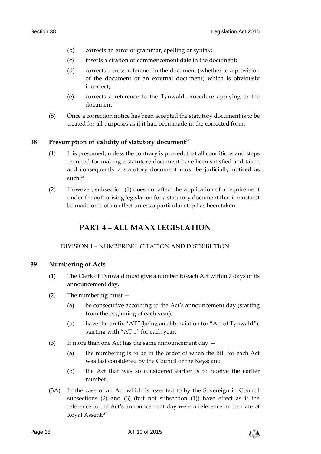- (b) corrects an error of grammar, spelling or syntax;
- (c) inserts a citation or commencement date in the document;
- (d) corrects a cross-reference in the document (whether to a provision of the document or an external document) which is obviously incorrect;
- (e) corrects a reference to the Tynwald procedure applying to the document.
- (5) Once a correction notice has been accepted the statutory document is to be treated for all purposes as if it had been made in the corrected form.

#### <span id="page-17-0"></span>**38 Presumption of validity of statutory document**<sup>25</sup>

- (1) It is presumed, unless the contrary is proved, that all conditions and steps required for making a statutory document have been satisfied and taken and consequently a statutory document must be judicially noticed as such.**<sup>26</sup>**
- <span id="page-17-1"></span>(2) However, subsection (1) does not affect the application of a requirement under the authorising legislation for a statutory document that it must not be made or is of no effect unless a particular step has been taken.

# **PART 4 – ALL MANX LEGISLATION**

#### DIVISION 1 – NUMBERING, CITATION AND DISTRIBUTION

#### <span id="page-17-3"></span><span id="page-17-2"></span>**39 Numbering of Acts**

- (1) The Clerk of Tynwald must give a number to each Act within 7 days of its announcement day.
- (2) The numbering must
	- (a) be consecutive according to the Act's announcement day (starting from the beginning of each year);
	- (b) have the prefix "AT" (being an abbreviation for "Act of Tynwald"), starting with "AT 1" for each year.
- (3) If more than one Act has the same announcement day
	- (a) the numbering is to be in the order of when the Bill for each Act was last considered by the Council or the Keys; and
	- (b) the Act that was so considered earlier is to receive the earlier number.
- (3A) In the case of an Act which is assented to by the Sovereign in Council subsections (2) and (3) (but not subsection (1)) have effect as if the reference to the Act's announcement day were a reference to the date of Royal Assent.**27**

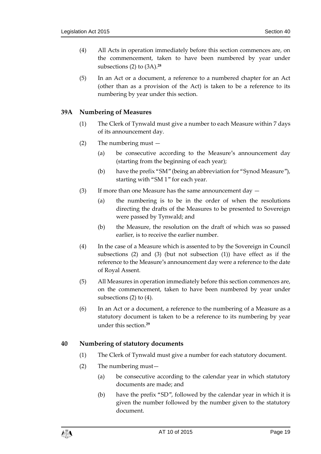- (4) All Acts in operation immediately before this section commences are, on the commencement, taken to have been numbered by year under subsections (2) to (3A).**<sup>28</sup>**
- (5) In an Act or a document, a reference to a numbered chapter for an Act (other than as a provision of the Act) is taken to be a reference to its numbering by year under this section.

## <span id="page-18-0"></span>**39A Numbering of Measures**

- (1) The Clerk of Tynwald must give a number to each Measure within 7 days of its announcement day.
- (2) The numbering must
	- (a) be consecutive according to the Measure's announcement day (starting from the beginning of each year);
	- (b) have the prefix "SM" (being an abbreviation for "Synod Measure"), starting with "SM 1" for each year.
- (3) If more than one Measure has the same announcement day  $-$ 
	- (a) the numbering is to be in the order of when the resolutions directing the drafts of the Measures to be presented to Sovereign were passed by Tynwald; and
	- (b) the Measure, the resolution on the draft of which was so passed earlier, is to receive the earlier number.
- (4) In the case of a Measure which is assented to by the Sovereign in Council subsections (2) and (3) (but not subsection (1)) have effect as if the reference to the Measure's announcement day were a reference to the date of Royal Assent.
- (5) All Measures in operation immediately before this section commences are, on the commencement, taken to have been numbered by year under subsections (2) to (4).
- (6) In an Act or a document, a reference to the numbering of a Measure as a statutory document is taken to be a reference to its numbering by year under this section.**<sup>29</sup>**

## <span id="page-18-1"></span>**40 Numbering of statutory documents**

- (1) The Clerk of Tynwald must give a number for each statutory document.
- (2) The numbering must—
	- (a) be consecutive according to the calendar year in which statutory documents are made; and
	- (b) have the prefix "SD", followed by the calendar year in which it is given the number followed by the number given to the statutory document.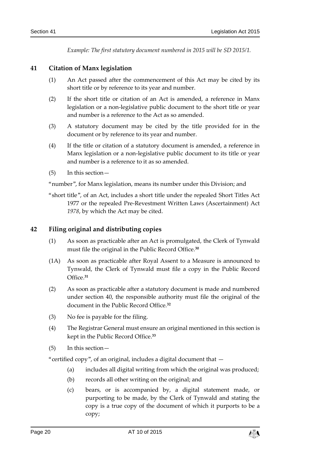*Example: The first statutory document numbered in 2015 will be SD 2015/1.*

## <span id="page-19-0"></span>**41 Citation of Manx legislation**

- (1) An Act passed after the commencement of this Act may be cited by its short title or by reference to its year and number.
- (2) If the short title or citation of an Act is amended, a reference in Manx legislation or a non-legislative public document to the short title or year and number is a reference to the Act as so amended.
- (3) A statutory document may be cited by the title provided for in the document or by reference to its year and number.
- (4) If the title or citation of a statutory document is amended, a reference in Manx legislation or a non-legislative public document to its title or year and number is a reference to it as so amended.
- (5) In this section—

"number", for Manx legislation, means its number under this Division; and

"short title", of an Act, includes a short title under the repealed Short Titles Act 1977 or the repealed Pre-Revestment Written Laws (Ascertainment) Act *1978*, by which the Act may be cited.

## <span id="page-19-1"></span>**42 Filing original and distributing copies**

- (1) As soon as practicable after an Act is promulgated, the Clerk of Tynwald must file the original in the Public Record Office.**<sup>30</sup>**
- (1A) As soon as practicable after Royal Assent to a Measure is announced to Tynwald, the Clerk of Tynwald must file a copy in the Public Record Office.**<sup>31</sup>**
- (2) As soon as practicable after a statutory document is made and numbered under section 40, the responsible authority must file the original of the document in the Public Record Office.**<sup>32</sup>**
- (3) No fee is payable for the filing.
- (4) The Registrar General must ensure an original mentioned in this section is kept in the Public Record Office. **33**
- (5) In this section—

"certified copy", of an original, includes a digital document that —

- (a) includes all digital writing from which the original was produced;
- (b) records all other writing on the original; and
- (c) bears, or is accompanied by, a digital statement made, or purporting to be made, by the Clerk of Tynwald and stating the copy is a true copy of the document of which it purports to be a copy;

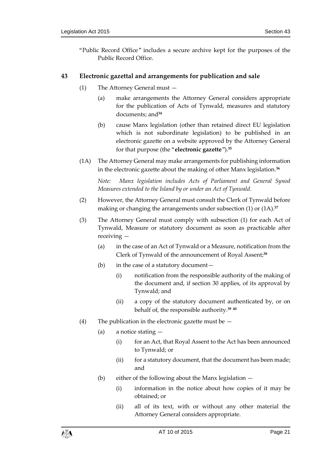"Public Record Office" includes a secure archive kept for the purposes of the Public Record Office.

## <span id="page-20-1"></span><span id="page-20-0"></span>**43 Electronic gazettal and arrangements for publication and sale**

- (1) The Attorney General must
	- (a) make arrangements the Attorney General considers appropriate for the publication of Acts of Tynwald, measures and statutory documents; and**<sup>34</sup>**
	- (b) cause Manx legislation (other than retained direct EU legislation which is not subordinate legislation) to be published in an electronic gazette on a website approved by the Attorney General for that purpose (the "**electronic gazette**").**<sup>35</sup>**
- (1A) The Attorney General may make arrangements for publishing information in the electronic gazette about the making of other Manx legislation.**<sup>36</sup>**

*Note: Manx legislation includes Acts of Parliament and General Synod Measures extended to the Island by or under an Act of Tynwald.*

- (2) However, the Attorney General must consult the Clerk of Tynwald before making or changing the arrangements under subsection (1) or (1A). **37**
- (3) The Attorney General must comply with subsection (1) for each Act of Tynwald, Measure or statutory document as soon as practicable after receiving —
	- (a) in the case of an Act of Tynwald or a Measure, notification from the Clerk of Tynwald of the announcement of Royal Assent;**<sup>38</sup>**
	- (b) in the case of a statutory document—
		- (i) notification from the responsible authority of the making of the document and, if section 30 applies, of its approval by Tynwald; and
		- (ii) a copy of the statutory document authenticated by, or on behalf of, the responsible authority.**<sup>39</sup> <sup>40</sup>**
- (4) The publication in the electronic gazette must be  $-$ 
	- (a) a notice stating
		- (i) for an Act, that Royal Assent to the Act has been announced to Tynwald; or
		- (ii) for a statutory document, that the document has been made; and
	- (b) either of the following about the Manx legislation
		- (i) information in the notice about how copies of it may be obtained; or
		- (ii) all of its text, with or without any other material the Attorney General considers appropriate.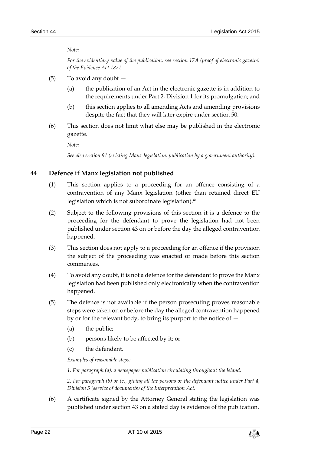*Note:*

*For the evidentiary value of the publication, see section 17A (proof of electronic gazette) of the Evidence Act 1871.*

- (5) To avoid any doubt
	- (a) the publication of an Act in the electronic gazette is in addition to the requirements under Part 2, Division 1 for its promulgation; and
	- (b) this section applies to all amending Acts and amending provisions despite the fact that they will later expire under section 50.
- (6) This section does not limit what else may be published in the electronic gazette.

*Note:*

*See also section [91](#page-40-1) (existing Manx legislation: publication by a government authority).*

## <span id="page-21-0"></span>**44 Defence if Manx legislation not published**

- (1) This section applies to a proceeding for an offence consisting of a contravention of any Manx legislation (other than retained direct EU legislation which is not subordinate legislation). **41**
- (2) Subject to the following provisions of this section it is a defence to the proceeding for the defendant to prove the legislation had not been published under sectio[n 43](#page-20-0) on or before the day the alleged contravention happened.
- (3) This section does not apply to a proceeding for an offence if the provision the subject of the proceeding was enacted or made before this section commences.
- (4) To avoid any doubt, it is not a defence for the defendant to prove the Manx legislation had been published only electronically when the contravention happened.
- (5) The defence is not available if the person prosecuting proves reasonable steps were taken on or before the day the alleged contravention happened by or for the relevant body, to bring its purport to the notice of —
	- (a) the public;
	- (b) persons likely to be affected by it; or
	- (c) the defendant.

*Examples of reasonable steps:*

*1. For paragraph (a), a newspaper publication circulating throughout the Island.*

*2. For paragraph (b) or (c), giving all the persons or the defendant notice under Part 4, Division 5 (service of documents) of the Interpretation Act.*

(6) A certificate signed by the Attorney General stating the legislation was published under section [43](#page-20-0) on a stated day is evidence of the publication.

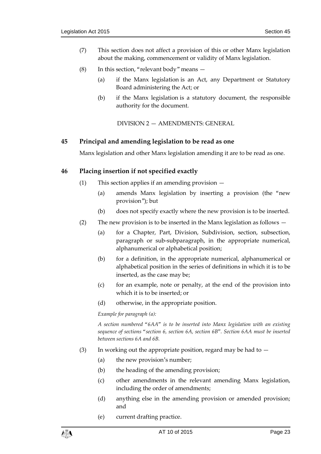- (7) This section does not affect a provision of this or other Manx legislation about the making, commencement or validity of Manx legislation.
- (8) In this section, "relevant body" means
	- (a) if the Manx legislation is an Act, any Department or Statutory Board administering the Act; or
	- (b) if the Manx legislation is a statutory document, the responsible authority for the document.

DIVISION 2 — AMENDMENTS: GENERAL

#### <span id="page-22-1"></span><span id="page-22-0"></span>**45 Principal and amending legislation to be read as one**

Manx legislation and other Manx legislation amending it are to be read as one.

#### <span id="page-22-2"></span>**46 Placing insertion if not specified exactly**

- (1) This section applies if an amending provision
	- (a) amends Manx legislation by inserting a provision (the "new provision"); but
	- (b) does not specify exactly where the new provision is to be inserted.
- (2) The new provision is to be inserted in the Manx legislation as follows
	- (a) for a Chapter, Part, Division, Subdivision, section, subsection, paragraph or sub-subparagraph, in the appropriate numerical, alphanumerical or alphabetical position;
	- (b) for a definition, in the appropriate numerical, alphanumerical or alphabetical position in the series of definitions in which it is to be inserted, as the case may be;
	- (c) for an example, note or penalty, at the end of the provision into which it is to be inserted; or
	- (d) otherwise, in the appropriate position.

*Example for paragraph (a):*

*A section numbered "6AA" is to be inserted into Manx legislation with an existing sequence of sections "section 6, section 6A, section 6B". Section 6AA must be inserted between sections 6A and 6B.*

- (3) In working out the appropriate position, regard may be had to  $-$ 
	- (a) the new provision's number;
	- (b) the heading of the amending provision;
	- (c) other amendments in the relevant amending Manx legislation, including the order of amendments;
	- (d) anything else in the amending provision or amended provision; and
	- (e) current drafting practice.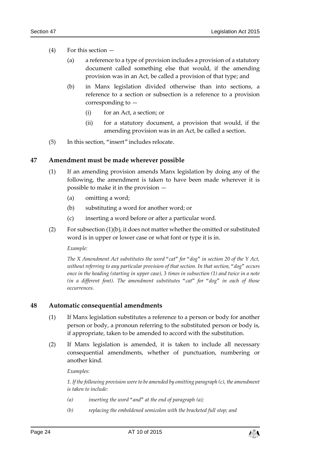- (4) For this section
	- (a) a reference to a type of provision includes a provision of a statutory document called something else that would, if the amending provision was in an Act, be called a provision of that type; and
	- (b) in Manx legislation divided otherwise than into sections, a reference to a section or subsection is a reference to a provision corresponding to —
		- (i) for an Act, a section; or
		- (ii) for a statutory document, a provision that would, if the amending provision was in an Act, be called a section.
- (5) In this section, "insert" includes relocate.

#### <span id="page-23-2"></span><span id="page-23-0"></span>**47 Amendment must be made wherever possible**

- (1) If an amending provision amends Manx legislation by doing any of the following, the amendment is taken to have been made wherever it is possible to make it in the provision —
	- (a) omitting a word;
	- (b) substituting a word for another word; or
	- (c) inserting a word before or after a particular word.
- (2) For subsection [\(1\)\(](#page-23-2)b), it does not matter whether the omitted or substituted word is in upper or lower case or what font or type it is in.

*Example:*

*The X Amendment Act substitutes the word "cat" for "dog" in section 20 of the Y Act, without referring to any particular provision of that section. In that section, "dog" occurs once in the heading (starting in upper case), 3 times in subsection (1) and twice in a note (in a different font). The amendment substitutes "cat" for "dog" in each of those occurrences.*

#### <span id="page-23-3"></span><span id="page-23-1"></span>**48 Automatic consequential amendments**

- (1) If Manx legislation substitutes a reference to a person or body for another person or body, a pronoun referring to the substituted person or body is, if appropriate, taken to be amended to accord with the substitution.
- <span id="page-23-4"></span>(2) If Manx legislation is amended, it is taken to include all necessary consequential amendments, whether of punctuation, numbering or another kind.

*Examples:*

*1. If the following provision were to be amended by omitting paragraph (c), the amendment is taken to include:*

- *(a) inserting the word "and" at the end of paragraph (a);*
- *(b) replacing the emboldened semicolon with the bracketed full stop; and*

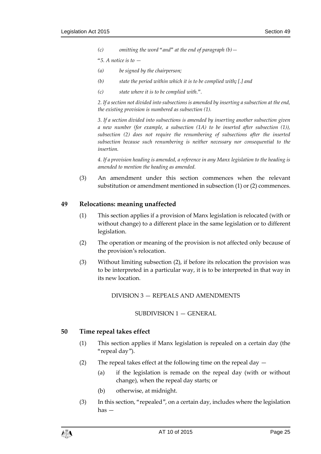*(c) omitting the word "and" at the end of paragraph (b)—*

*"5. A notice is to —*

- *(a) be signed by the chairperson;*
- *(b) state the period within which it is to be complied with; [.] and*
- *(c) state where it is to be complied with.".*

*2. If a section not divided into subsections is amended by inserting a subsection at the end, the existing provision is numbered as subsection (1).*

*3. If a section divided into subsections is amended by inserting another subsection given a new number (for example, a subsection (1A) to be inserted after subsection (1)), subsection (2) does not require the renumbering of subsections after the inserted subsection because such renumbering is neither necessary nor consequential to the insertion.*

*4. If a provision heading is amended, a reference in any Manx legislation to the heading is amended to mention the heading as amended.*

(3) An amendment under this section commences when the relevant substitution or amendment mentioned in subsection [\(1\)](#page-23-3) or [\(2\)](#page-23-4) commences.

#### <span id="page-24-0"></span>**49 Relocations: meaning unaffected**

- (1) This section applies if a provision of Manx legislation is relocated (with or without change) to a different place in the same legislation or to different legislation.
- <span id="page-24-4"></span>(2) The operation or meaning of the provision is not affected only because of the provision's relocation.
- <span id="page-24-1"></span>(3) Without limiting subsection [\(2\),](#page-24-4) if before its relocation the provision was to be interpreted in a particular way, it is to be interpreted in that way in its new location.

DIVISION 3 — REPEALS AND AMENDMENTS

#### SUBDIVISION 1 — GENERAL

#### <span id="page-24-3"></span><span id="page-24-2"></span>**50 Time repeal takes effect**

- (1) This section applies if Manx legislation is repealed on a certain day (the "repeal day").
- (2) The repeal takes effect at the following time on the repeal day  $-$ 
	- (a) if the legislation is remade on the repeal day (with or without change), when the repeal day starts; or
	- (b) otherwise, at midnight.
- (3) In this section, "repealed", on a certain day, includes where the legislation has —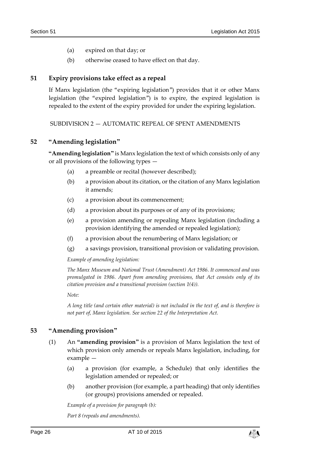- (a) expired on that day; or
- (b) otherwise ceased to have effect on that day.

#### <span id="page-25-0"></span>**51 Expiry provisions take effect as a repeal**

If Manx legislation (the "expiring legislation") provides that it or other Manx legislation (the "expired legislation") is to expire, the expired legislation is repealed to the extent of the expiry provided for under the expiring legislation.

<span id="page-25-1"></span>SUBDIVISION 2 — AUTOMATIC REPEAL OF SPENT AMENDMENTS

## <span id="page-25-2"></span>**52 "Amending legislation"**

**"Amending legislation"** is Manx legislation the text of which consists only of any or all provisions of the following types —

- (a) a preamble or recital (however described);
- (b) a provision about its citation, or the citation of any Manx legislation it amends;
- (c) a provision about its commencement;
- (d) a provision about its purposes or of any of its provisions;
- (e) a provision amending or repealing Manx legislation (including a provision identifying the amended or repealed legislation);
- (f) a provision about the renumbering of Manx legislation; or
- (g) a savings provision, transitional provision or validating provision.

*Example of amending legislation:*

*The Manx Museum and National Trust (Amendment) Act 1986. It commenced and was promulgated in 1986. Apart from amending provisions, that Act consists only of its citation provision and a transitional provision (section 1(4)).*

*Note:*

*A long title (and certain other material) is not included in the text of, and is therefore is not part of, Manx legislation. See section 22 of the Interpretation Act.*

## <span id="page-25-4"></span><span id="page-25-3"></span>**53 "Amending provision"**

- (1) An **"amending provision"** is a provision of Manx legislation the text of which provision only amends or repeals Manx legislation, including, for example —
	- (a) a provision (for example, a Schedule) that only identifies the legislation amended or repealed; or
	- (b) another provision (for example, a part heading) that only identifies (or groups) provisions amended or repealed.

*Example of a provision for paragraph (b):*

*Part 8 (repeals and amendments).*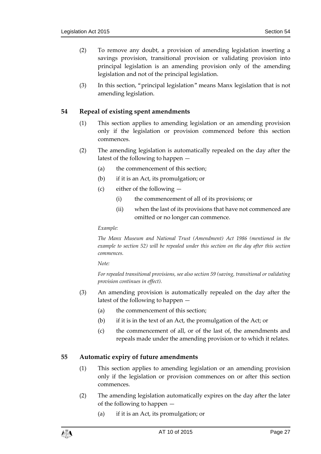- (2) To remove any doubt, a provision of amending legislation inserting a savings provision, transitional provision or validating provision into principal legislation is an amending provision only of the amending legislation and not of the principal legislation.
- (3) In this section, "principal legislation" means Manx legislation that is not amending legislation.

#### <span id="page-26-0"></span>**54 Repeal of existing spent amendments**

- (1) This section applies to amending legislation or an amending provision only if the legislation or provision commenced before this section commences.
- (2) The amending legislation is automatically repealed on the day after the latest of the following to happen —
	- (a) the commencement of this section;
	- (b) if it is an Act, its promulgation; or
	- (c) either of the following
		- (i) the commencement of all of its provisions; or
		- (ii) when the last of its provisions that have not commenced are omitted or no longer can commence.

*Example:*

*The Manx Museum and National Trust (Amendment) Act 1986 (mentioned in the example to section [52\)](#page-25-2) will be repealed under this section on the day after this section commences.*

*Note:*

*For repealed transitional provisions, see also sectio[n 59](#page-29-0) (saving, transitional or validating provision continues in effect).*

- (3) An amending provision is automatically repealed on the day after the latest of the following to happen —
	- (a) the commencement of this section;
	- (b) if it is in the text of an Act, the promulgation of the Act; or
	- (c) the commencement of all, or of the last of, the amendments and repeals made under the amending provision or to which it relates.

## <span id="page-26-1"></span>**55 Automatic expiry of future amendments**

- (1) This section applies to amending legislation or an amending provision only if the legislation or provision commences on or after this section commences.
- (2) The amending legislation automatically expires on the day after the later of the following to happen —
	- (a) if it is an Act, its promulgation; or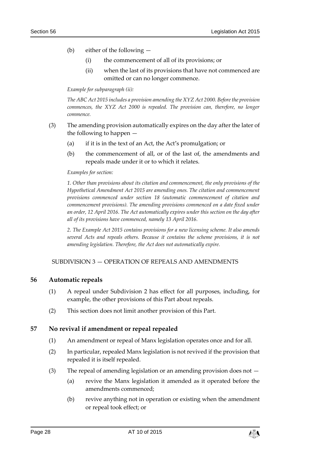- (b) either of the following
	- (i) the commencement of all of its provisions; or
	- (ii) when the last of its provisions that have not commenced are omitted or can no longer commence.

*Example for subparagraph (ii):*

*The ABC Act 2015 includes a provision amending the XYZ Act 2000. Before the provision commences, the XYZ Act 2000 is repealed. The provision can, therefore, no longer commence.*

- (3) The amending provision automatically expires on the day after the later of the following to happen —
	- (a) if it is in the text of an Act, the Act's promulgation; or
	- (b) the commencement of all, or of the last of, the amendments and repeals made under it or to which it relates.

#### *Examples for section:*

*1. Other than provisions about its citation and commencement, the only provisions of the Hypothetical Amendment Act 2015 are amending ones. The citation and commencement provisions commenced under section 18 (automatic commencement of citation and commencement provisions). The amending provisions commenced on a date fixed under an order, 12 April 2016. The Act automatically expires under this section on the day after all of its provisions have commenced, namely 13 April 2016.*

*2. The Example Act 2015 contains provisions for a new licensing scheme. It also amends several Acts and repeals others. Because it contains the scheme provisions, it is not amending legislation. Therefore, the Act does not automatically expire.*

#### <span id="page-27-0"></span>SUBDIVISION 3 — OPERATION OF REPEALS AND AMENDMENTS

#### <span id="page-27-1"></span>**56 Automatic repeals**

- (1) A repeal under Subdivision 2 has effect for all purposes, including, for example, the other provisions of this Part about repeals.
- (2) This section does not limit another provision of this Part.

## <span id="page-27-2"></span>**57 No revival if amendment or repeal repealed**

- (1) An amendment or repeal of Manx legislation operates once and for all.
- (2) In particular, repealed Manx legislation is not revived if the provision that repealed it is itself repealed.
- (3) The repeal of amending legislation or an amending provision does not  $-$ 
	- (a) revive the Manx legislation it amended as it operated before the amendments commenced;
	- (b) revive anything not in operation or existing when the amendment or repeal took effect; or

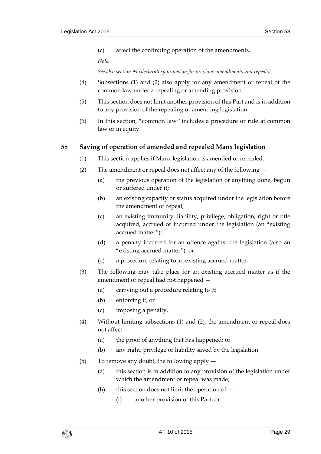(c) affect the continuing operation of the amendments.

*Note:*

*See also section [94](#page-41-2) (declaratory provision for previous amendments and repeals).*

- (4) Subsections (1) and (2) also apply for any amendment or repeal of the common law under a repealing or amending provision.
- (5) This section does not limit another provision of this Part and is in addition to any provision of the repealing or amending legislation.
- (6) In this section, "common law" includes a procedure or rule at common law or in equity.

## <span id="page-28-0"></span>**58 Saving of operation of amended and repealed Manx legislation**

- (1) This section applies if Manx legislation is amended or repealed.
- (2) The amendment or repeal does not affect any of the following
	- (a) the previous operation of the legislation or anything done, begun or suffered under it;
	- (b) an existing capacity or status acquired under the legislation before the amendment or repeal;
	- (c) an existing immunity, liability, privilege, obligation, right or title acquired, accrued or incurred under the legislation (an "existing accrued matter");
	- (d) a penalty incurred for an offence against the legislation (also an "existing accrued matter"); or
	- (e) a procedure relating to an existing accrued matter.
- (3) The following may take place for an existing accrued matter as if the amendment or repeal had not happened —
	- (a) carrying out a procedure relating to it;
	- (b) enforcing it; or
	- (c) imposing a penalty.
- (4) Without limiting subsections (1) and (2), the amendment or repeal does not affect —
	- (a) the proof of anything that has happened; or
	- (b) any right, privilege or liability saved by the legislation.
- (5) To remove any doubt, the following apply
	- (a) this section is in addition to any provision of the legislation under which the amendment or repeal was made;
	- (b) this section does not limit the operation of  $-$ 
		- (i) another provision of this Part; or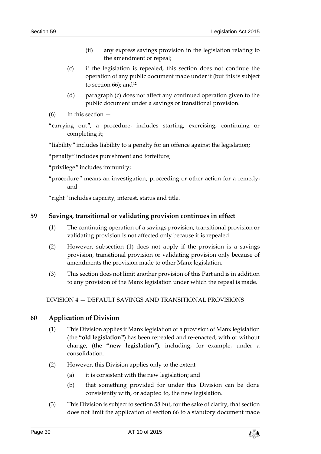- (ii) any express savings provision in the legislation relating to the amendment or repeal;
- (c) if the legislation is repealed, this section does not continue the operation of any public document made under it (but this is subject to section  $66$ ; and<sup>42</sup>
- (d) paragraph (c) does not affect any continued operation given to the public document under a savings or transitional provision.
- $(6)$  In this section  $-$
- "carrying out", a procedure, includes starting, exercising, continuing or completing it;

"liability" includes liability to a penalty for an offence against the legislation;

"penalty" includes punishment and forfeiture;

"privilege" includes immunity;

"procedure" means an investigation, proceeding or other action for a remedy; and

"right" includes capacity, interest, status and title.

#### <span id="page-29-3"></span><span id="page-29-0"></span>**59 Savings, transitional or validating provision continues in effect**

- (1) The continuing operation of a savings provision, transitional provision or validating provision is not affected only because it is repealed.
- (2) However, subsection [\(1\)](#page-29-3) does not apply if the provision is a savings provision, transitional provision or validating provision only because of amendments the provision made to other Manx legislation.
- (3) This section does not limit another provision of this Part and is in addition to any provision of the Manx legislation under which the repeal is made.

<span id="page-29-1"></span>DIVISION 4 — DEFAULT SAVINGS AND TRANSITIONAL PROVISIONS

## <span id="page-29-4"></span><span id="page-29-2"></span>**60 Application of Division**

- (1) This Division applies if Manx legislation or a provision of Manx legislation (the **"old legislation"**) has been repealed and re-enacted, with or without change, (the **"new legislation"**), including, for example, under a consolidation.
- (2) However, this Division applies only to the extent
	- (a) it is consistent with the new legislation; and
	- (b) that something provided for under this Division can be done consistently with, or adapted to, the new legislation.
- (3) This Division is subject to section [58](#page-28-0) but, for the sake of clarity, that section does not limit the application of section 66 to a statutory document made

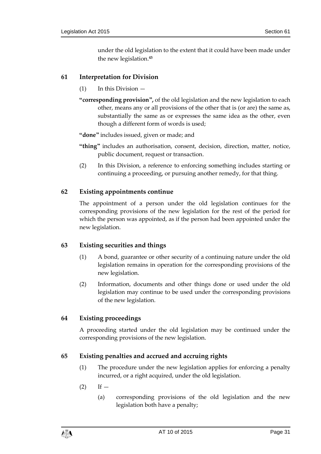under the old legislation to the extent that it could have been made under the new legislation. **43**

## <span id="page-30-5"></span><span id="page-30-0"></span>**61 Interpretation for Division**

- (1) In this Division —
- **"corresponding provision",** of the old legislation and the new legislation to each other, means any or all provisions of the other that is (or are) the same as, substantially the same as or expresses the same idea as the other, even though a different form of words is used;

**"done"** includes issued, given or made; and

- **"thing"** includes an authorisation, consent, decision, direction, matter, notice, public document, request or transaction.
- (2) In this Division, a reference to enforcing something includes starting or continuing a proceeding, or pursuing another remedy, for that thing.

## <span id="page-30-1"></span>**62 Existing appointments continue**

The appointment of a person under the old legislation continues for the corresponding provisions of the new legislation for the rest of the period for which the person was appointed, as if the person had been appointed under the new legislation.

## <span id="page-30-2"></span>**63 Existing securities and things**

- (1) A bond, guarantee or other security of a continuing nature under the old legislation remains in operation for the corresponding provisions of the new legislation.
- (2) Information, documents and other things done or used under the old legislation may continue to be used under the corresponding provisions of the new legislation.

## <span id="page-30-3"></span>**64 Existing proceedings**

A proceeding started under the old legislation may be continued under the corresponding provisions of the new legislation.

## <span id="page-30-4"></span>**65 Existing penalties and accrued and accruing rights**

- (1) The procedure under the new legislation applies for enforcing a penalty incurred, or a right acquired, under the old legislation.
- $(2)$  If  $-$ 
	- (a) corresponding provisions of the old legislation and the new legislation both have a penalty;

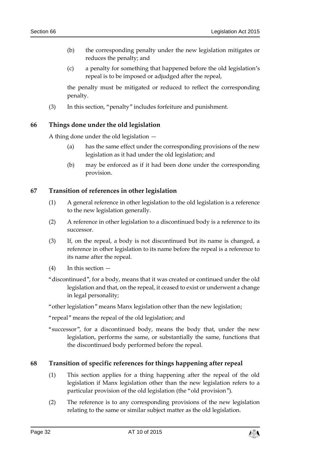- (b) the corresponding penalty under the new legislation mitigates or reduces the penalty; and
- (c) a penalty for something that happened before the old legislation's repeal is to be imposed or adjudged after the repeal,

the penalty must be mitigated or reduced to reflect the corresponding penalty.

(3) In this section, "penalty" includes forfeiture and punishment.

## <span id="page-31-0"></span>**66 Things done under the old legislation**

A thing done under the old legislation —

- (a) has the same effect under the corresponding provisions of the new legislation as it had under the old legislation; and
- (b) may be enforced as if it had been done under the corresponding provision.

## <span id="page-31-1"></span>**67 Transition of references in other legislation**

- (1) A general reference in other legislation to the old legislation is a reference to the new legislation generally.
- (2) A reference in other legislation to a discontinued body is a reference to its successor.
- (3) If, on the repeal, a body is not discontinued but its name is changed, a reference in other legislation to its name before the repeal is a reference to its name after the repeal.
- (4) In this section —
- "discontinued", for a body, means that it was created or continued under the old legislation and that, on the repeal, it ceased to exist or underwent a change in legal personality;
- "other legislation" means Manx legislation other than the new legislation;

"repeal" means the repeal of the old legislation; and

"successor", for a discontinued body, means the body that, under the new legislation, performs the same, or substantially the same, functions that the discontinued body performed before the repeal.

## <span id="page-31-2"></span>**68 Transition of specific references for things happening after repeal**

- (1) This section applies for a thing happening after the repeal of the old legislation if Manx legislation other than the new legislation refers to a particular provision of the old legislation (the "old provision").
- (2) The reference is to any corresponding provisions of the new legislation relating to the same or similar subject matter as the old legislation.

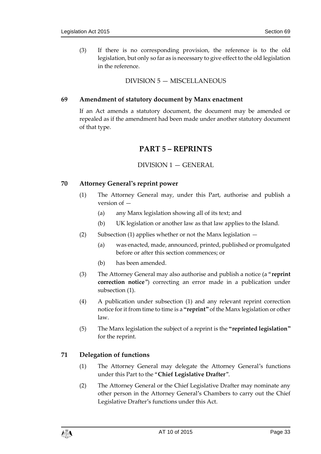(3) If there is no corresponding provision, the reference is to the old legislation, but only so far as is necessary to give effect to the old legislation in the reference.

## DIVISION 5 — MISCELLANEOUS

#### <span id="page-32-1"></span><span id="page-32-0"></span>**69 Amendment of statutory document by Manx enactment**

<span id="page-32-2"></span>If an Act amends a statutory document, the document may be amended or repealed as if the amendment had been made under another statutory document of that type.

## **PART 5 – REPRINTS**

#### DIVISION 1 — GENERAL

#### <span id="page-32-6"></span><span id="page-32-4"></span><span id="page-32-3"></span>**70 Attorney General's reprint power**

- (1) The Attorney General may, under this Part, authorise and publish a version of —
	- (a) any Manx legislation showing all of its text; and
	- (b) UK legislation or another law as that law applies to the Island.
- (2) Subsection (1) applies whether or not the Manx legislation  $-$ 
	- (a) was enacted, made, announced, printed, published or promulgated before or after this section commences; or
	- (b) has been amended.
- <span id="page-32-9"></span>(3) The Attorney General may also authorise and publish a notice (a "**reprint correction notice**") correcting an error made in a publication under subsection [\(1\).](#page-32-6)
- <span id="page-32-8"></span>(4) A publication under subsection [\(1\)](#page-32-6) and any relevant reprint correction notice for it from time to time is a **"reprint"** of the Manx legislation or other law.
- <span id="page-32-10"></span>(5) The Manx legislation the subject of a reprint is the **"reprinted legislation"** for the reprint.

## <span id="page-32-5"></span>**71 Delegation of functions**

- (1) The Attorney General may delegate the Attorney General's functions under this Part to the "**Chief Legislative Drafter**".
- <span id="page-32-7"></span>(2) The Attorney General or the Chief Legislative Drafter may nominate any other person in the Attorney General's Chambers to carry out the Chief Legislative Drafter's functions under this Act.

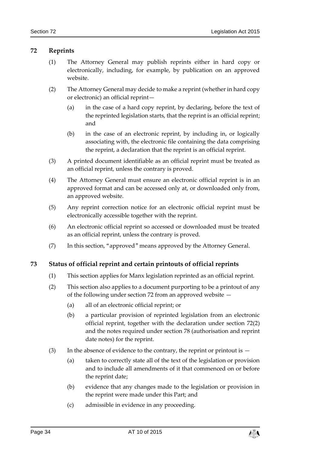## <span id="page-33-0"></span>**72 Reprints**

- (1) The Attorney General may publish reprints either in hard copy or electronically, including, for example, by publication on an approved website.
- <span id="page-33-2"></span>(2) The Attorney General may decide to make a reprint (whether in hard copy or electronic) an official reprint—
	- (a) in the case of a hard copy reprint, by declaring, before the text of the reprinted legislation starts, that the reprint is an official reprint; and
	- (b) in the case of an electronic reprint, by including in, or logically associating with, the electronic file containing the data comprising the reprint, a declaration that the reprint is an official reprint.
- (3) A printed document identifiable as an official reprint must be treated as an official reprint, unless the contrary is proved.
- (4) The Attorney General must ensure an electronic official reprint is in an approved format and can be accessed only at, or downloaded only from, an approved website.
- (5) Any reprint correction notice for an electronic official reprint must be electronically accessible together with the reprint.
- (6) An electronic official reprint so accessed or downloaded must be treated as an official reprint, unless the contrary is proved.
- (7) In this section, "approved" means approved by the Attorney General.

## <span id="page-33-1"></span>**73 Status of official reprint and certain printouts of official reprints**

- (1) This section applies for Manx legislation reprinted as an official reprint.
- (2) This section also applies to a document purporting to be a printout of any of the following under section [72](#page-33-0) from an approved website —
	- (a) all of an electronic official reprint; or
	- (b) a particular provision of reprinted legislation from an electronic official reprint, together with the declaration under section [72\(2\)](#page-33-2) and the notes required under section [78](#page-35-1) (authorisation and reprint date notes) for the reprint.
- (3) In the absence of evidence to the contrary, the reprint or printout is  $-$ 
	- (a) taken to correctly state all of the text of the legislation or provision and to include all amendments of it that commenced on or before the reprint date;
	- (b) evidence that any changes made to the legislation or provision in the reprint were made under this Part; and
	- (c) admissible in evidence in any proceeding.

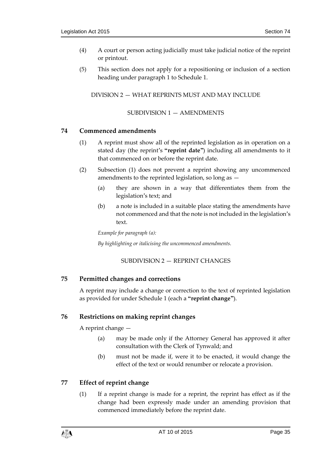- (4) A court or person acting judicially must take judicial notice of the reprint or printout.
- <span id="page-34-0"></span>(5) This section does not apply for a repositioning or inclusion of a section heading under paragraph 1 to Schedule 1.

DIVISION 2 — WHAT REPRINTS MUST AND MAY INCLUDE

#### SUBDIVISION 1 — AMENDMENTS

## <span id="page-34-8"></span><span id="page-34-2"></span><span id="page-34-1"></span>**74 Commenced amendments**

- (1) A reprint must show all of the reprinted legislation as in operation on a stated day (the reprint's **"reprint date"**) including all amendments to it that commenced on or before the reprint date.
- (2) Subsection (1) does not prevent a reprint showing any uncommenced amendments to the reprinted legislation, so long as —
	- (a) they are shown in a way that differentiates them from the legislation's text; and
	- (b) a note is included in a suitable place stating the amendments have not commenced and that the note is not included in the legislation's text.

*Example for paragraph (a): By highlighting or italicising the uncommenced amendments.*

## SUBDIVISION 2 — REPRINT CHANGES

## <span id="page-34-4"></span><span id="page-34-3"></span>**75 Permitted changes and corrections**

A reprint may include a change or correction to the text of reprinted legislation as provided for under Schedule 1 (each a **"reprint change"**).

## <span id="page-34-5"></span>**76 Restrictions on making reprint changes**

A reprint change —

- (a) may be made only if the Attorney General has approved it after consultation with the Clerk of Tynwald; and
- (b) must not be made if, were it to be enacted, it would change the effect of the text or would renumber or relocate a provision.

## <span id="page-34-7"></span><span id="page-34-6"></span>**77 Effect of reprint change**

(1) If a reprint change is made for a reprint, the reprint has effect as if the change had been expressly made under an amending provision that commenced immediately before the reprint date.

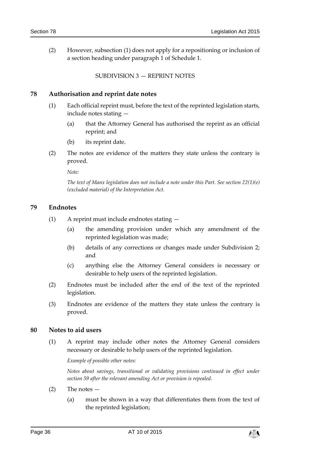<span id="page-35-0"></span>(2) However, subsection [\(1\)](#page-34-7) does not apply for a repositioning or inclusion of a section heading under paragraph 1 of Schedule 1.

SUBDIVISION 3 — REPRINT NOTES

#### <span id="page-35-1"></span>**78 Authorisation and reprint date notes**

- (1) Each official reprint must, before the text of the reprinted legislation starts, include notes stating —
	- (a) that the Attorney General has authorised the reprint as an official reprint; and
	- (b) its reprint date.
- (2) The notes are evidence of the matters they state unless the contrary is proved.

*Note:*

*The text of Manx legislation does not include a note under this Part. See section 22(1)(e) (excluded material) of the Interpretation Act.*

#### <span id="page-35-2"></span>**79 Endnotes**

- (1) A reprint must include endnotes stating
	- (a) the amending provision under which any amendment of the reprinted legislation was made;
	- (b) details of any corrections or changes made under Subdivision 2; and
	- (c) anything else the Attorney General considers is necessary or desirable to help users of the reprinted legislation.
- (2) Endnotes must be included after the end of the text of the reprinted legislation.
- (3) Endnotes are evidence of the matters they state unless the contrary is proved.

#### <span id="page-35-3"></span>**80 Notes to aid users**

(1) A reprint may include other notes the Attorney General considers necessary or desirable to help users of the reprinted legislation.

*Example of possible other notes:*

*Notes about savings, transitional or validating provisions continued in effect under section [59](#page-29-0) after the relevant amending Act or provision is repealed.*

- (2) The notes
	- (a) must be shown in a way that differentiates them from the text of the reprinted legislation;

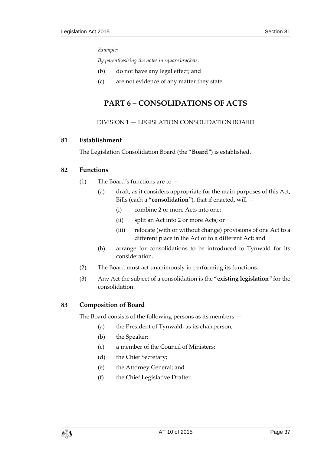#### *Example:*

*By parenthesising the notes in square brackets.*

- (b) do not have any legal effect; and
- <span id="page-36-0"></span>(c) are not evidence of any matter they state.

# **PART 6 – CONSOLIDATIONS OF ACTS**

#### DIVISION 1 — LEGISLATION CONSOLIDATION BOARD

#### <span id="page-36-2"></span><span id="page-36-1"></span>**81 Establishment**

The Legislation Consolidation Board (the "**Board**") is established.

## <span id="page-36-5"></span><span id="page-36-3"></span>**82 Functions**

- (1) The Board's functions are to
	- (a) draft, as it considers appropriate for the main purposes of this Act, Bills (each a **"consolidation"**), that if enacted, will —
		- (i) combine 2 or more Acts into one;
		- (ii) split an Act into 2 or more Acts; or
		- (iii) relocate (with or without change) provisions of one Act to a different place in the Act or to a different Act; and
	- (b) arrange for consolidations to be introduced to Tynwald for its consideration.
- (2) The Board must act unanimously in performing its functions.
- <span id="page-36-6"></span>(3) Any Act the subject of a consolidation is the "**existing legislation**" for the consolidation.

## <span id="page-36-4"></span>**83 Composition of Board**

The Board consists of the following persons as its members —

- (a) the President of Tynwald, as its chairperson;
- (b) the Speaker;
- (c) a member of the Council of Ministers;
- (d) the Chief Secretary;
- (e) the Attorney General; and
- (f) the Chief Legislative Drafter.

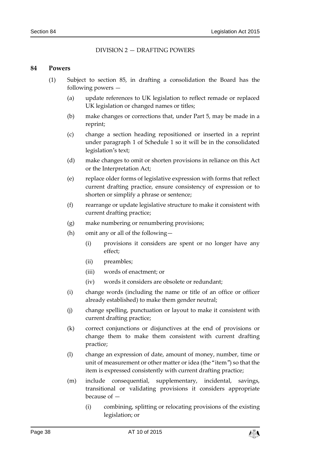#### DIVISION 2 — DRAFTING POWERS

#### <span id="page-37-1"></span><span id="page-37-0"></span>**84 Powers**

- (1) Subject to section [85,](#page-38-0) in drafting a consolidation the Board has the following powers —
	- (a) update references to UK legislation to reflect remade or replaced UK legislation or changed names or titles;
	- (b) make changes or corrections that, under Part 5, may be made in a reprint;
	- (c) change a section heading repositioned or inserted in a reprint under paragraph 1 of Schedule 1 so it will be in the consolidated legislation's text;
	- (d) make changes to omit or shorten provisions in reliance on this Act or the Interpretation Act;
	- (e) replace older forms of legislative expression with forms that reflect current drafting practice, ensure consistency of expression or to shorten or simplify a phrase or sentence;
	- (f) rearrange or update legislative structure to make it consistent with current drafting practice;
	- (g) make numbering or renumbering provisions;
	- (h) omit any or all of the following—
		- (i) provisions it considers are spent or no longer have any effect;
		- (ii) preambles;
		- (iii) words of enactment; or
		- (iv) words it considers are obsolete or redundant;
	- (i) change words (including the name or title of an office or officer already established) to make them gender neutral;
	- (j) change spelling, punctuation or layout to make it consistent with current drafting practice;
	- (k) correct conjunctions or disjunctives at the end of provisions or change them to make them consistent with current drafting practice;
	- (l) change an expression of date, amount of money, number, time or unit of measurement or other matter or idea (the "item") so that the item is expressed consistently with current drafting practice;
	- (m) include consequential, supplementary, incidental, savings, transitional or validating provisions it considers appropriate because of —
		- (i) combining, splitting or relocating provisions of the existing legislation; or

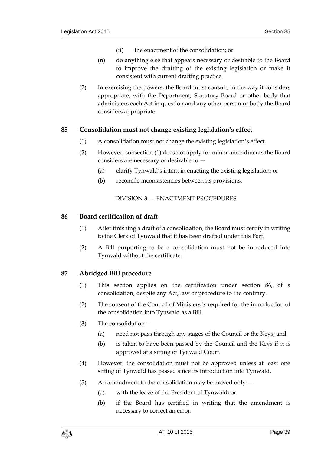- (ii) the enactment of the consolidation; or
- (n) do anything else that appears necessary or desirable to the Board to improve the drafting of the existing legislation or make it consistent with current drafting practice.
- (2) In exercising the powers, the Board must consult, in the way it considers appropriate, with the Department, Statutory Board or other body that administers each Act in question and any other person or body the Board considers appropriate.

## <span id="page-38-5"></span><span id="page-38-4"></span><span id="page-38-0"></span>**85 Consolidation must not change existing legislation's effect**

- (1) A consolidation must not change the existing legislation's effect.
- (2) However, subsection [\(1\)](#page-38-4) does not apply for minor amendments the Board considers are necessary or desirable to —
	- (a) clarify Tynwald's intent in enacting the existing legislation; or
	- (b) reconcile inconsistencies between its provisions.

#### DIVISION 3 — ENACTMENT PROCEDURES

#### <span id="page-38-2"></span><span id="page-38-1"></span>**86 Board certification of draft**

- (1) After finishing a draft of a consolidation, the Board must certify in writing to the Clerk of Tynwald that it has been drafted under this Part.
- (2) A Bill purporting to be a consolidation must not be introduced into Tynwald without the certificate.

## <span id="page-38-3"></span>**87 Abridged Bill procedure**

- (1) This section applies on the certification under section [86,](#page-38-2) of a consolidation, despite any Act, law or procedure to the contrary.
- (2) The consent of the Council of Ministers is required for the introduction of the consolidation into Tynwald as a Bill.
- (3) The consolidation
	- (a) need not pass through any stages of the Council or the Keys; and
	- (b) is taken to have been passed by the Council and the Keys if it is approved at a sitting of Tynwald Court.
- (4) However, the consolidation must not be approved unless at least one sitting of Tynwald has passed since its introduction into Tynwald.
- (5) An amendment to the consolidation may be moved only  $-$ 
	- (a) with the leave of the President of Tynwald; or
	- (b) if the Board has certified in writing that the amendment is necessary to correct an error.

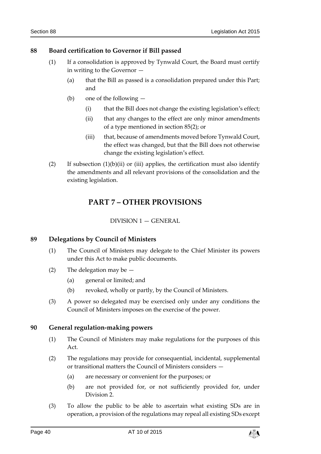#### <span id="page-39-5"></span><span id="page-39-0"></span>**88 Board certification to Governor if Bill passed**

- (1) If a consolidation is approved by Tynwald Court, the Board must certify in writing to the Governor —
	- (a) that the Bill as passed is a consolidation prepared under this Part; and
	- (b) one of the following
		- (i) that the Bill does not change the existing legislation's effect;
		- (ii) that any changes to the effect are only minor amendments of a type mentioned in section [85\(2\);](#page-38-5) or
		- (iii) that, because of amendments moved before Tynwald Court, the effect was changed, but that the Bill does not otherwise change the existing legislation's effect.
- <span id="page-39-1"></span>(2) If subsection  $(1)(b)(ii)$  or (iii) applies, the certification must also identify the amendments and all relevant provisions of the consolidation and the existing legislation.

## **PART 7 – OTHER PROVISIONS**

DIVISION 1 — GENERAL

## <span id="page-39-3"></span><span id="page-39-2"></span>**89 Delegations by Council of Ministers**

- (1) The Council of Ministers may delegate to the Chief Minister its powers under this Act to make public documents.
- (2) The delegation may be
	- (a) general or limited; and
	- (b) revoked, wholly or partly, by the Council of Ministers.
- (3) A power so delegated may be exercised only under any conditions the Council of Ministers imposes on the exercise of the power.

#### <span id="page-39-4"></span>**90 General regulation-making powers**

- (1) The Council of Ministers may make regulations for the purposes of this Act.
- (2) The regulations may provide for consequential, incidental, supplemental or transitional matters the Council of Ministers considers —
	- (a) are necessary or convenient for the purposes; or
	- (b) are not provided for, or not sufficiently provided for, under Division 2.
- (3) To allow the public to be able to ascertain what existing SDs are in operation, a provision of the regulations may repeal all existing SDs except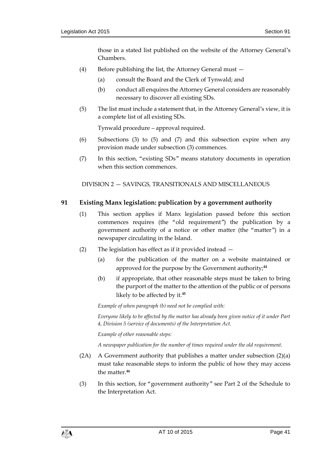those in a stated list published on the website of the Attorney General's Chambers.

- (4) Before publishing the list, the Attorney General must
	- (a) consult the Board and the Clerk of Tynwald; and
	- (b) conduct all enquires the Attorney General considers are reasonably necessary to discover all existing SDs.
- (5) The list must include a statement that, in the Attorney General's view, it is a complete list of all existing SDs.

Tynwald procedure – approval required.

- (6) Subsections (3) to (5) and (7) and this subsection expire when any provision made under subsection (3) commences.
- (7) In this section, "existing SDs" means statutory documents in operation when this section commences.

<span id="page-40-0"></span>DIVISION 2 — SAVINGS, TRANSITIONALS AND MISCELLANEOUS

#### <span id="page-40-1"></span>**91 Existing Manx legislation: publication by a government authority**

- (1) This section applies if Manx legislation passed before this section commences requires (the "old requirement") the publication by a government authority of a notice or other matter (the "matter") in a newspaper circulating in the Island.
- (2) The legislation has effect as if it provided instead
	- (a) for the publication of the matter on a website maintained or approved for the purpose by the Government authority;**<sup>44</sup>**
	- (b) if appropriate, that other reasonable steps must be taken to bring the purport of the matter to the attention of the public or of persons likely to be affected by it.**<sup>45</sup>**

*Example of when paragraph (b) need not be complied with:*

*Everyone likely to be affected by the matter has already been given notice of it under Part 4, Division 5 (service of documents) of the Interpretation Act.*

*Example of other reasonable steps:*

*A newspaper publication for the number of times required under the old requirement.*

- (2A) A Government authority that publishes a matter under subsection  $(2)(a)$ must take reasonable steps to inform the public of how they may access the matter.**<sup>46</sup>**
- (3) In this section, for "government authority" see Part 2 of the Schedule to the Interpretation Act.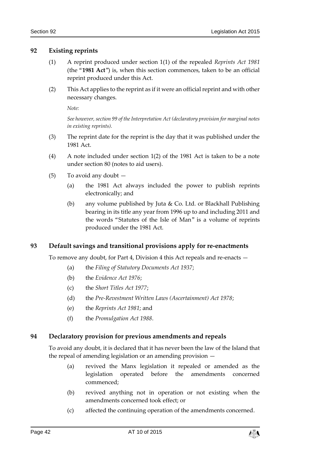#### <span id="page-41-0"></span>**92 Existing reprints**

- (1) A reprint produced under section 1(1) of the repealed *Reprints Act 1981* (the "**1981 Act**") is, when this section commences, taken to be an official reprint produced under this Act.
- (2) This Act applies to the reprint as if it were an official reprint and with other necessary changes.

*Note:*

*See however, section 99 of the Interpretation Act (declaratory provision for marginal notes in existing reprints).*

- (3) The reprint date for the reprint is the day that it was published under the 1981 Act.
- (4) A note included under section 1(2) of the 1981 Act is taken to be a note under section [80](#page-35-3) (notes to aid users).
- (5) To avoid any doubt
	- (a) the 1981 Act always included the power to publish reprints electronically; and
	- (b) any volume published by Juta & Co. Ltd. or Blackhall Publishing bearing in its title any year from 1996 up to and including 2011 and the words "Statutes of the Isle of Man" is a volume of reprints produced under the 1981 Act.

## <span id="page-41-1"></span>**93 Default savings and transitional provisions apply for re-enactments**

To remove any doubt, for Part 4, Division 4 this Act repeals and re-enacts —

- (a) the *Filing of Statutory Documents Act 1937*;
- (b) the *Evidence Act 1976*;
- (c) the *Short Titles Act 1977*;
- (d) the *Pre-Revestment Written Laws (Ascertainment) Act 1978*;
- (e) the *Reprints Act 1981*; and
- (f) the *Promulgation Act 1988*.

## <span id="page-41-2"></span>**94 Declaratory provision for previous amendments and repeals**

To avoid any doubt, it is declared that it has never been the law of the Island that the repeal of amending legislation or an amending provision —

- (a) revived the Manx legislation it repealed or amended as the legislation operated before the amendments concerned commenced;
- (b) revived anything not in operation or not existing when the amendments concerned took effect; or
- (c) affected the continuing operation of the amendments concerned.

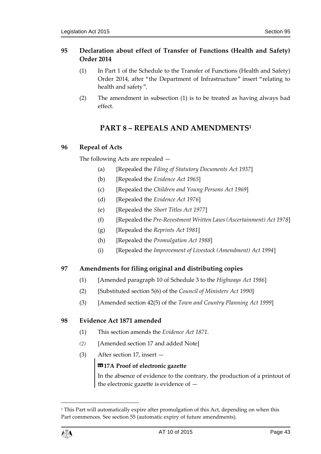## <span id="page-42-0"></span>**95 Declaration about effect of Transfer of Functions (Health and Safety) Order 2014**

- (1) In Part 1 of the Schedule to the Transfer of Functions (Health and Safety) Order 2014, after "the Department of Infrastructure" insert "relating to health and safety".
- <span id="page-42-1"></span>(2) The amendment in subsection (1) is to be treated as having always had effect.

# **PART 8 – REPEALS AND AMENDMENTS<sup>1</sup>**

## <span id="page-42-2"></span>**96 Repeal of Acts**

The following Acts are repealed —

- (a) [Repealed the *Filing of Statutory Documents Act 1937*]
- (b) [Repealed the *Evidence Act 1965*]
- (c) [Repealed the *Children and Young Persons Act 1969*]
- (d) [Repealed the *Evidence Act 1976*]
- (e) [Repealed the *Short Titles Act 1977*]
- (f) [Repealed the *Pre-Revestment Written Laws (Ascertainment) Act 1978*]
- (g) [Repealed the *Reprints Act 1981*]
- (h) [Repealed the *Promulgation Act 1988*]
- (i) [Repealed the *Improvement of Livestock (Amendment) Act 1994*]

## <span id="page-42-3"></span>**97 Amendments for filing original and distributing copies**

- (1) [Amended paragraph 10 of Schedule 3 to the *Highways Act 1986*]
- (2) [Substituted section 5(6) of the *Council of Ministers Act 1990*]
- (3) [Amended section 42(5) of the *Town and Country Planning Act 1999*]

## <span id="page-42-4"></span>**98 Evidence Act 1871 amended**

- (1) This section amends the *Evidence Act 1871.*
- *(2)* [Amended section 17 and added Note]
- (3) After section 17, insert —

## **«17A Proof of electronic gazette**

In the absence of evidence to the contrary, the production of a printout of the electronic gazette is evidence of —

<sup>&</sup>lt;sup>1</sup> This Part will automatically expire after promulgation of this Act, depending on when this Part commences. See section [55](#page-26-1) (automatic expiry of future amendments).



1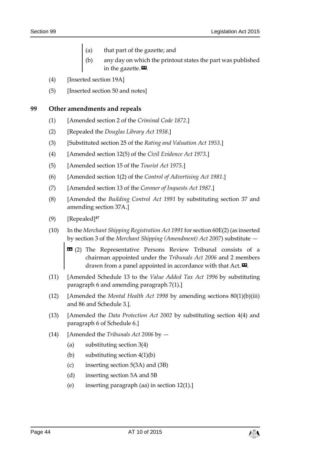- (a) that part of the gazette; and
- (b) any day on which the printout states the part was published in the gazette. $\mathbf{D}$ .
- (4) [Inserted section 19A]
- (5) [Inserted section 50 and notes]

#### <span id="page-43-0"></span>**99 Other amendments and repeals**

- (1) [Amended section 2 of the *Criminal Code 1872*.]
- (2) [Repealed the *Douglas Library Act 1938*.]
- (3) [Substituted section 25 of the *Rating and Valuation Act 1953*.]
- (4) [Amended section 12(5) of the *Civil Evidence Act 1973*.]
- (5) [Amended section 15 of the *Tourist Act 1975*.]
- (6) [Amended section 1(2) of the *Control of Advertising Act 1981*.]
- (7) [Amended section 13 of the *Coroner of Inquests Act 1987*.]
- <span id="page-43-1"></span>(8) [Amended the *Building Control Act 1991* by substituting section 37 and amending section 37A.]
- (9) [Repealed]**<sup>47</sup>**
- (10) In the *Merchant Shipping Registration Act 1991* for section 60E(2) (as inserted by section 3 of the *Merchant Shipping (Amendment) Act 2007*) substitute —
	- **EG** (2) The Representative Persons Review Tribunal consists of a chairman appointed under the *Tribunals Act 2006* and 2 members drawn from a panel appointed in accordance with that Act. $\boldsymbol{\Sigma}$ .
- (11) [Amended Schedule 13 to the *Value Added Tax Act 1996* by substituting paragraph 6 and amending paragraph 7(1).]
- (12) [Amended the *Mental Health Act 1998* by amending sections 80(1)(b)(iii) and 86 and Schedule 3.].
- (13) [Amended the *Data Protection Act 2002* by substituting section 4(4) and paragraph 6 of Schedule 6.]
- (14) [Amended the *Tribunals Act 2006* by
	- (a) substituting section 3(4)
	- (b) substituting section 4(1)(b)
	- (c) inserting section 5(3A) and (3B)
	- (d) inserting section 5A and 5B
	- (e) inserting paragraph (aa) in section 12(1).]

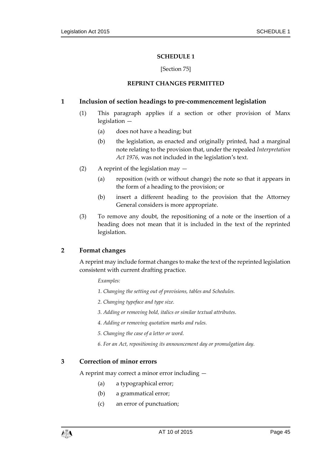#### **SCHEDULE 1**

#### [Section [75\]](#page-34-4)

#### **REPRINT CHANGES PERMITTED**

#### <span id="page-44-1"></span><span id="page-44-0"></span>**1 Inclusion of section headings to pre-commencement legislation**

- (1) This paragraph applies if a section or other provision of Manx legislation —
	- (a) does not have a heading; but
	- (b) the legislation, as enacted and originally printed, had a marginal note relating to the provision that, under the repealed *Interpretation Act 1976,* was not included in the legislation's text.
- (2) A reprint of the legislation may
	- (a) reposition (with or without change) the note so that it appears in the form of a heading to the provision; or
	- (b) insert a different heading to the provision that the Attorney General considers is more appropriate.
- (3) To remove any doubt, the repositioning of a note or the insertion of a heading does not mean that it is included in the text of the reprinted legislation.

#### **2 Format changes**

A reprint may include format changes to make the text of the reprinted legislation consistent with current drafting practice.

*Examples:*

- *1. Changing the setting out of provisions, tables and Schedules.*
- *2. Changing typeface and type size.*
- *3. Adding or removing bold, italics or similar textual attributes.*
- *4. Adding or removing quotation marks and rules.*
- *5. Changing the case of a letter or word.*
- *6. For an Act, repositioning its announcement day or promulgation day.*

#### **3 Correction of minor errors**

A reprint may correct a minor error including —

- (a) a typographical error;
- (b) a grammatical error;
- (c) an error of punctuation;

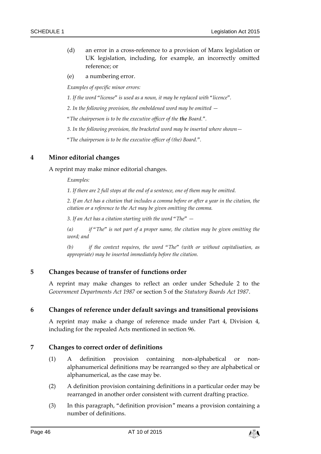- (d) an error in a cross-reference to a provision of Manx legislation or UK legislation, including, for example, an incorrectly omitted reference; or
- (e) a numbering error.

*Examples of specific minor errors:*

*1. If the word "license" is used as a noun, it may be replaced with "licence".*

*2. In the following provision, the emboldened word may be omitted —*

*"The chairperson is to be the executive officer of the the Board.".*

*3. In the following provision, the bracketed word may be inserted where shown—*

*"The chairperson is to be the executive officer of (the) Board.".*

## **4 Minor editorial changes**

A reprint may make minor editorial changes.

*Examples:*

*1. If there are 2 full stops at the end of a sentence, one of them may be omitted.*

*2. If an Act has a citation that includes a comma before or after a year in the citation, the citation or a reference to the Act may be given omitting the comma.*

*3. If an Act has a citation starting with the word "The" —*

*(a) if "The" is not part of a proper name, the citation may be given omitting the word; and*

*(b) if the context requires, the word "The" (with or without capitalisation, as appropriate) may be inserted immediately before the citation.*

#### **5 Changes because of transfer of functions order**

A reprint may make changes to reflect an order under Schedule 2 to the *Government Departments Act 1987* or section 5 of the *Statutory Boards Act 1987*.

#### **6 Changes of reference under default savings and transitional provisions**

A reprint may make a change of reference made under Part 4, Division 4, including for the repealed Acts mentioned in section [96.](#page-42-2)

#### **7 Changes to correct order of definitions**

- (1) A definition provision containing non-alphabetical or nonalphanumerical definitions may be rearranged so they are alphabetical or alphanumerical, as the case may be.
- (2) A definition provision containing definitions in a particular order may be rearranged in another order consistent with current drafting practice.
- (3) In this paragraph, "definition provision" means a provision containing a number of definitions.

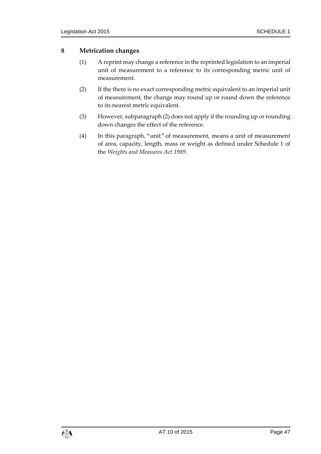## **8 Metrication changes**

- (1) A reprint may change a reference in the reprinted legislation to an imperial unit of measurement to a reference to its corresponding metric unit of measurement.
- (2) If the there is no exact corresponding metric equivalent to an imperial unit of measurement, the change may round up or round down the reference to its nearest metric equivalent.
- (3) However, subparagraph (2) does not apply if the rounding up or rounding down changes the effect of the reference.
- (4) In this paragraph, "unit" of measurement, means a unit of measurement of area, capacity, length, mass or weight as defined under Schedule 1 of the *Weights and Measures Act 1989*.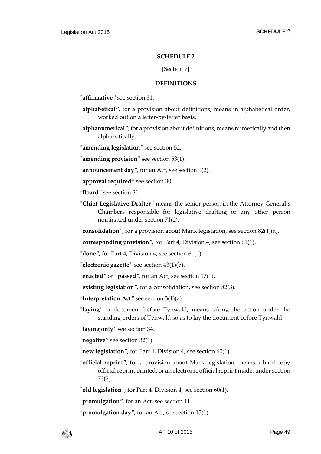#### **SCHEDULE 2**

#### [Section [7\]](#page-8-2)

#### **DEFINITIONS**

<span id="page-48-1"></span><span id="page-48-0"></span>"**affirmative**" see section [31.](#page-14-1)

- "**alphabetical**", for a provision about definitions, means in alphabetical order, worked out on a letter-by-letter basis.
- "**alphanumerical**", for a provision about definitions, means numerically and then alphabetically.

"**amending legislation**" see section [52.](#page-25-2)

"**amending provision**" see section [53\(1\).](#page-25-4)

- "**announcement day**", for an Act, see section [9\(2\).](#page-8-9)
- "**approval required**" see section [30.](#page-14-0)

"**Board**" see section [81.](#page-36-2)

"**Chief Legislative Drafter**" means the senior person in the Attorney General's Chambers responsible for legislative drafting or any other person nominated under section [71\(2\).](#page-32-7)

"**consolidation**", for a provision about Manx legislation, see section [82\(1\)\(](#page-36-5)a).

"**corresponding provision**", for Part 4, Division 4, see section [61\(1\).](#page-30-5)

"**done**", for Part 4, Division 4, see section [61\(1\).](#page-30-5)

"**electronic gazette**" see section [43\(1\)\(](#page-20-1)b).

"**enacted**" or "**passed**", for an Act, see section [17\(1\).](#page-10-5)

"**existing legislation**", for a consolidation, see section [82\(3\).](#page-36-6)

"**Interpretation Act**" see section [3\(1\)\(](#page-6-4)a).

"**laying**", a document before Tynwald, means taking the action under the standing orders of Tynwald so as to lay the document before Tynwald.

"**laying only**" see section [34.](#page-15-1)

"**negative**" see section [32\(1\).](#page-14-3)

"**new legislation**", for Part 4, Division 4, see section [60\(1\).](#page-29-4)

"**official reprint**", for a provision about Manx legislation, means a hard copy official reprint printed, or an electronic official reprint made, under section [72\(2\).](#page-33-2)

"**old legislation**", for Part 4, Division 4, see section [60\(1\).](#page-29-4)

"**promulgation**", for an Act, see section [11.](#page-9-0)

"**promulgation day**", for an Act, see section [15\(1\).](#page-9-7)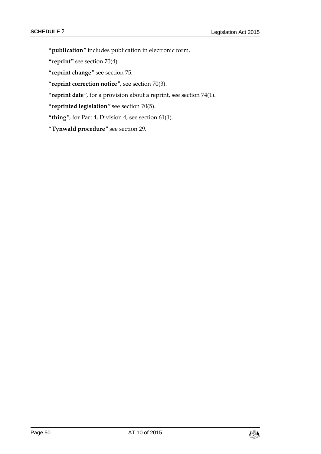"**publication**" includes publication in electronic form.

**"reprint"** see section [70\(4\).](#page-32-8)

"**reprint change**" see section [75.](#page-34-4)

"**reprint correction notice**", see section [70\(3\).](#page-32-9)

"**reprint date**", for a provision about a reprint, see section [74\(1\).](#page-34-8)

"**reprinted legislation**" see section [70\(5\).](#page-32-10)

"**thing**", for Part 4, Division 4, see section [61\(1\).](#page-30-5)

"**Tynwald procedure**" see section [29.](#page-13-3)

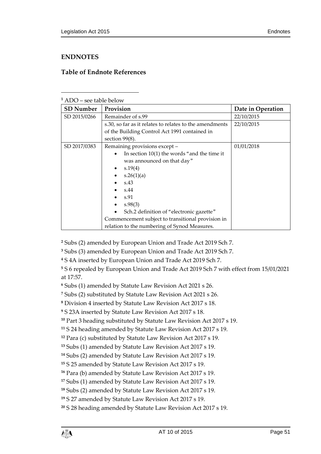## <span id="page-50-0"></span>**ENDNOTES**

 $\overline{a}$ 

## <span id="page-50-1"></span>**Table of Endnote References**

| <sup>1</sup> ADO – see table below |                                                         |                   |  |  |  |
|------------------------------------|---------------------------------------------------------|-------------------|--|--|--|
| <b>SD Number</b>                   | Provision                                               | Date in Operation |  |  |  |
| SD 2015/0266                       | Remainder of s.99                                       | 22/10/2015        |  |  |  |
|                                    | s.30, so far as it relates to relates to the amendments | 22/10/2015        |  |  |  |
|                                    | of the Building Control Act 1991 contained in           |                   |  |  |  |
|                                    | section $99(8)$ .                                       |                   |  |  |  |
| SD 2017/0383                       | Remaining provisions except -                           | 01/01/2018        |  |  |  |
|                                    | In section $10(1)$ the words "and the time it           |                   |  |  |  |
|                                    | was announced on that day"                              |                   |  |  |  |
|                                    | s.19(4)<br>$\bullet$                                    |                   |  |  |  |
|                                    | s.26(1)(a)                                              |                   |  |  |  |
|                                    | s.43                                                    |                   |  |  |  |
|                                    | s.44                                                    |                   |  |  |  |
|                                    | s.91                                                    |                   |  |  |  |
|                                    | s.98(3)                                                 |                   |  |  |  |
|                                    | Sch.2 definition of "electronic gazette"                |                   |  |  |  |
|                                    | Commencement subject to transitional provision in       |                   |  |  |  |
|                                    | relation to the numbering of Synod Measures.            |                   |  |  |  |

**<sup>2</sup>** Subs (2) amended by European Union and Trade Act 2019 Sch 7.

**<sup>3</sup>** Subs (3) amended by European Union and Trade Act 2019 Sch 7.

**<sup>4</sup>** S 4A inserted by European Union and Trade Act 2019 Sch 7.

**<sup>5</sup>** S 6 repealed by European Union and Trade Act 2019 Sch 7 with effect from 15/01/2021 at 17:57.

**<sup>6</sup>** Subs (1) amended by Statute Law Revision Act 2021 s 26.

**<sup>7</sup>** Subs (2) substituted by Statute Law Revision Act 2021 s 26.

**<sup>8</sup>** Division 4 inserted by Statute Law Revision Act 2017 s 18.

**<sup>9</sup>** S 23A inserted by Statute Law Revision Act 2017 s 18.

**<sup>10</sup>** Part 3 heading substituted by Statute Law Revision Act 2017 s 19.

**<sup>11</sup>** S 24 heading amended by Statute Law Revision Act 2017 s 19.

**<sup>12</sup>** Para (c) substituted by Statute Law Revision Act 2017 s 19.

**<sup>13</sup>** Subs (1) amended by Statute Law Revision Act 2017 s 19.

**<sup>14</sup>** Subs (2) amended by Statute Law Revision Act 2017 s 19.

**<sup>15</sup>** S 25 amended by Statute Law Revision Act 2017 s 19.

**<sup>16</sup>** Para (b) amended by Statute Law Revision Act 2017 s 19.

**<sup>17</sup>** Subs (1) amended by Statute Law Revision Act 2017 s 19.

**<sup>18</sup>** Subs (2) amended by Statute Law Revision Act 2017 s 19.

**<sup>19</sup>** S 27 amended by Statute Law Revision Act 2017 s 19.

**<sup>20</sup>** S 28 heading amended by Statute Law Revision Act 2017 s 19.